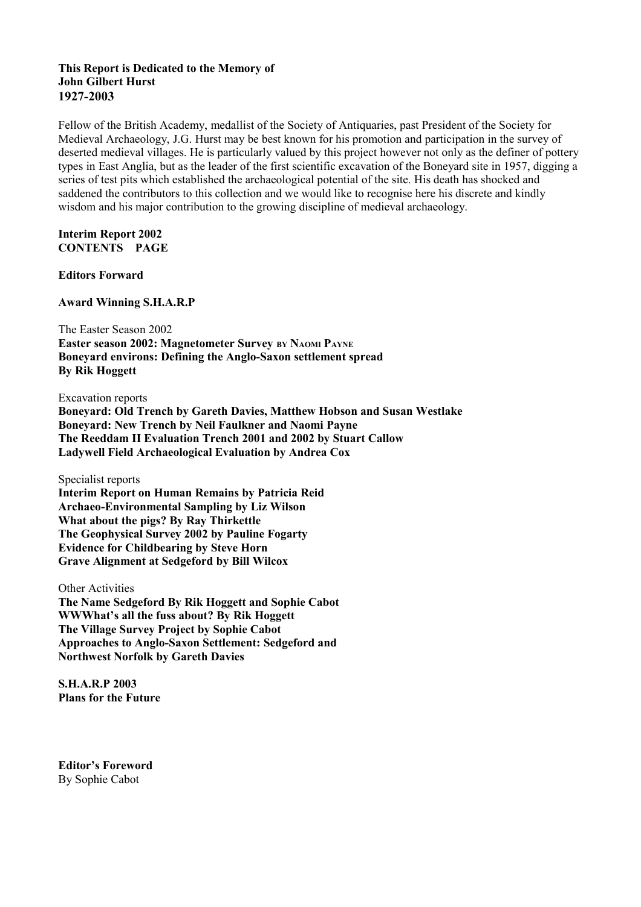# **This Report is Dedicated to the Memory of John Gilbert Hurst 1927-2003**

Fellow of the British Academy, medallist of the Society of Antiquaries, past President of the Society for Medieval Archaeology, J.G. Hurst may be best known for his promotion and participation in the survey of deserted medieval villages. He is particularly valued by this project however not only as the definer of pottery types in East Anglia, but as the leader of the first scientific excavation of the Boneyard site in 1957, digging a series of test pits which established the archaeological potential of the site. His death has shocked and saddened the contributors to this collection and we would like to recognise here his discrete and kindly wisdom and his major contribution to the growing discipline of medieval archaeology.

**Interim Report 2002 CONTENTS PAGE**

**Editors Forward**

**Award Winning S.H.A.R.P**

The Easter Season 2002

**Easter season 2002: Magnetometer Survey BY NAOMI PAYNE Boneyard environs: Defining the Anglo-Saxon settlement spread By Rik Hoggett**

Excavation reports

**Boneyard: Old Trench by Gareth Davies, Matthew Hobson and Susan Westlake Boneyard: New Trench by Neil Faulkner and Naomi Payne The Reeddam II Evaluation Trench 2001 and 2002 by Stuart Callow Ladywell Field Archaeological Evaluation by Andrea Cox**

Specialist reports

**Interim Report on Human Remains by Patricia Reid Archaeo-Environmental Sampling by Liz Wilson What about the pigs? By Ray Thirkettle The Geophysical Survey 2002 by Pauline Fogarty Evidence for Childbearing by Steve Horn Grave Alignment at Sedgeford by Bill Wilcox**

Other Activities

**The Name Sedgeford By Rik Hoggett and Sophie Cabot WWWhat's all the fuss about? By Rik Hoggett The Village Survey Project by Sophie Cabot Approaches to Anglo-Saxon Settlement: Sedgeford and Northwest Norfolk by Gareth Davies**

**S.H.A.R.P 2003 Plans for the Future** 

**Editor's Foreword** By Sophie Cabot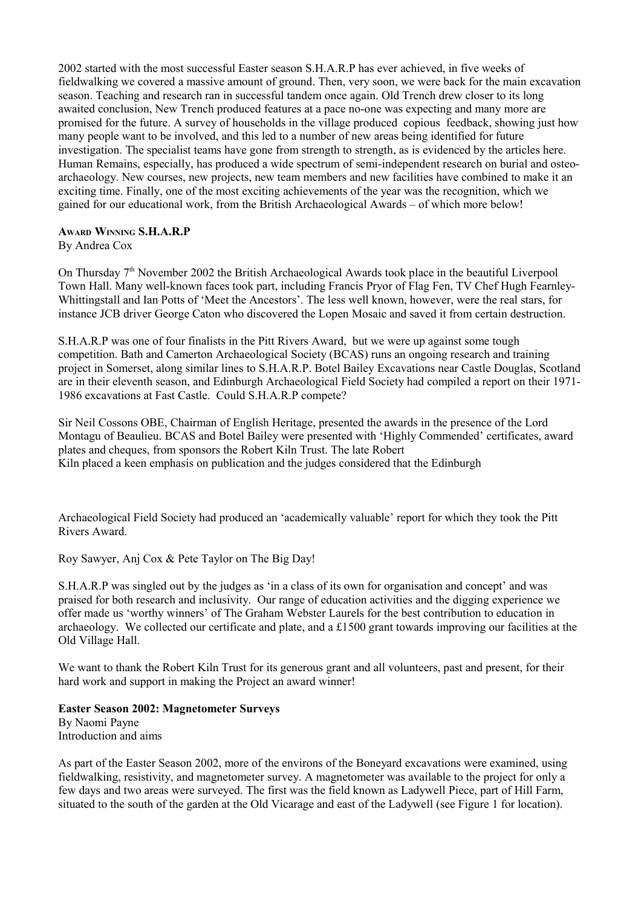2002 started with the most successful Easter season S.H.A.R.P has ever achieved, in five weeks of fieldwalking we covered a massive amount of ground. Then, very soon, we were back for the main excavation season. Teaching and research ran in successful tandem once again. Old Trench drew closer to its long awaited conclusion, New Trench produced features at a pace no-one was expecting and many more are promised for the future. A survey of households in the village produced copious feedback, showing just how many people want to be involved, and this led to a number of new areas being identified for future investigation. The specialist teams have gone from strength to strength, as is evidenced by the articles here. Human Remains, especially, has produced a wide spectrum of semi-independent research on burial and osteoarchaeology. New courses, new projects, new team members and new facilities have combined to make it an exciting time. Finally, one of the most exciting achievements of the year was the recognition, which we gained for our educational work, from the British Archaeological Awards – of which more below!

# **AWARD WINNING S.H.A.R.P**

By Andrea Cox

On Thursday 7<sup>th</sup> November 2002 the British Archaeological Awards took place in the beautiful Liverpool Town Hall. Many well-known faces took part, including Francis Pryor of Flag Fen, TV Chef Hugh Fearnley-Whittingstall and Ian Potts of 'Meet the Ancestors'. The less well known, however, were the real stars, for instance JCB driver George Caton who discovered the Lopen Mosaic and saved it from certain destruction.

S.H.A.R.P was one of four finalists in the Pitt Rivers Award, but we were up against some tough competition. Bath and Camerton Archaeological Society (BCAS) runs an ongoing research and training project in Somerset, along similar lines to S.H.A.R.P. Botel Bailey Excavations near Castle Douglas, Scotland are in their eleventh season, and Edinburgh Archaeological Field Society had compiled a report on their 1971- 1986 excavations at Fast Castle. Could S.H.A.R.P compete?

Sir Neil Cossons OBE, Chairman of English Heritage, presented the awards in the presence of the Lord Montagu of Beaulieu. BCAS and Botel Bailey were presented with 'Highly Commended' certificates, award plates and cheques, from sponsors the Robert Kiln Trust. The late Robert Kiln placed a keen emphasis on publication and the judges considered that the Edinburgh

Archaeological Field Society had produced an 'academically valuable' report for which they took the Pitt Rivers Award.

Roy Sawyer, Anj Cox & Pete Taylor on The Big Day!

S.H.A.R.P was singled out by the judges as 'in a class of its own for organisation and concept' and was praised for both research and inclusivity. Our range of education activities and the digging experience we offer made us 'worthy winners' of The Graham Webster Laurels for the best contribution to education in archaeology. We collected our certificate and plate, and a £1500 grant towards improving our facilities at the Old Village Hall.

We want to thank the Robert Kiln Trust for its generous grant and all volunteers, past and present, for their hard work and support in making the Project an award winner!

# **Easter Season 2002: Magnetometer Surveys**

By Naomi Payne Introduction and aims

As part of the Easter Season 2002, more of the environs of the Boneyard excavations were examined, using fieldwalking, resistivity, and magnetometer survey. A magnetometer was available to the project for only a few days and two areas were surveyed. The first was the field known as Ladywell Piece, part of Hill Farm, situated to the south of the garden at the Old Vicarage and east of the Ladywell (see Figure 1 for location).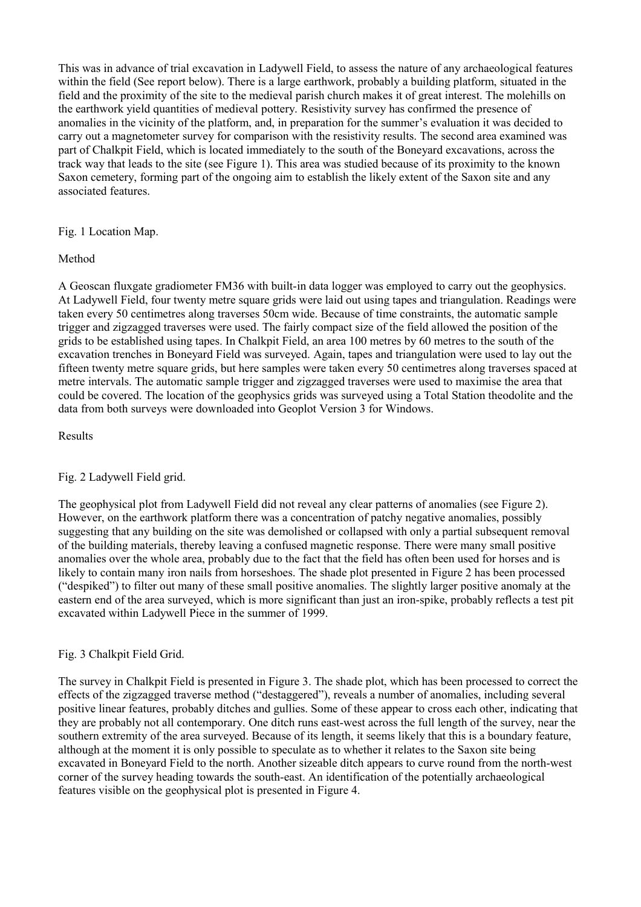This was in advance of trial excavation in Ladywell Field, to assess the nature of any archaeological features within the field (See report below). There is a large earthwork, probably a building platform, situated in the field and the proximity of the site to the medieval parish church makes it of great interest. The molehills on the earthwork yield quantities of medieval pottery. Resistivity survey has confirmed the presence of anomalies in the vicinity of the platform, and, in preparation for the summer's evaluation it was decided to carry out a magnetometer survey for comparison with the resistivity results. The second area examined was part of Chalkpit Field, which is located immediately to the south of the Boneyard excavations, across the track way that leads to the site (see Figure 1). This area was studied because of its proximity to the known Saxon cemetery, forming part of the ongoing aim to establish the likely extent of the Saxon site and any associated features.

Fig. 1 Location Map.

# Method

A Geoscan fluxgate gradiometer FM36 with built-in data logger was employed to carry out the geophysics. At Ladywell Field, four twenty metre square grids were laid out using tapes and triangulation. Readings were taken every 50 centimetres along traverses 50cm wide. Because of time constraints, the automatic sample trigger and zigzagged traverses were used. The fairly compact size of the field allowed the position of the grids to be established using tapes. In Chalkpit Field, an area 100 metres by 60 metres to the south of the excavation trenches in Boneyard Field was surveyed. Again, tapes and triangulation were used to lay out the fifteen twenty metre square grids, but here samples were taken every 50 centimetres along traverses spaced at metre intervals. The automatic sample trigger and zigzagged traverses were used to maximise the area that could be covered. The location of the geophysics grids was surveyed using a Total Station theodolite and the data from both surveys were downloaded into Geoplot Version 3 for Windows.

# Results

# Fig. 2 Ladywell Field grid.

The geophysical plot from Ladywell Field did not reveal any clear patterns of anomalies (see Figure 2). However, on the earthwork platform there was a concentration of patchy negative anomalies, possibly suggesting that any building on the site was demolished or collapsed with only a partial subsequent removal of the building materials, thereby leaving a confused magnetic response. There were many small positive anomalies over the whole area, probably due to the fact that the field has often been used for horses and is likely to contain many iron nails from horseshoes. The shade plot presented in Figure 2 has been processed ("despiked") to filter out many of these small positive anomalies. The slightly larger positive anomaly at the eastern end of the area surveyed, which is more significant than just an iron-spike, probably reflects a test pit excavated within Ladywell Piece in the summer of 1999.

# Fig. 3 Chalkpit Field Grid.

The survey in Chalkpit Field is presented in Figure 3. The shade plot, which has been processed to correct the effects of the zigzagged traverse method ("destaggered"), reveals a number of anomalies, including several positive linear features, probably ditches and gullies. Some of these appear to cross each other, indicating that they are probably not all contemporary. One ditch runs east-west across the full length of the survey, near the southern extremity of the area surveyed. Because of its length, it seems likely that this is a boundary feature, although at the moment it is only possible to speculate as to whether it relates to the Saxon site being excavated in Boneyard Field to the north. Another sizeable ditch appears to curve round from the north-west corner of the survey heading towards the south-east. An identification of the potentially archaeological features visible on the geophysical plot is presented in Figure 4.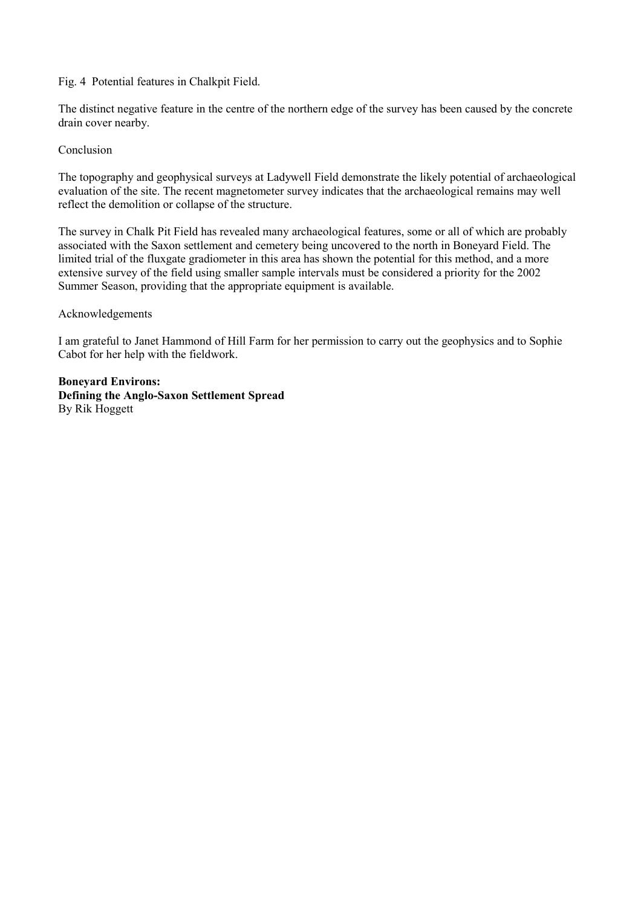# Fig. 4 Potential features in Chalkpit Field.

The distinct negative feature in the centre of the northern edge of the survey has been caused by the concrete drain cover nearby.

# Conclusion

The topography and geophysical surveys at Ladywell Field demonstrate the likely potential of archaeological evaluation of the site. The recent magnetometer survey indicates that the archaeological remains may well reflect the demolition or collapse of the structure.

The survey in Chalk Pit Field has revealed many archaeological features, some or all of which are probably associated with the Saxon settlement and cemetery being uncovered to the north in Boneyard Field. The limited trial of the fluxgate gradiometer in this area has shown the potential for this method, and a more extensive survey of the field using smaller sample intervals must be considered a priority for the 2002 Summer Season, providing that the appropriate equipment is available.

# Acknowledgements

I am grateful to Janet Hammond of Hill Farm for her permission to carry out the geophysics and to Sophie Cabot for her help with the fieldwork.

**Boneyard Environs: Defining the Anglo-Saxon Settlement Spread** By Rik Hoggett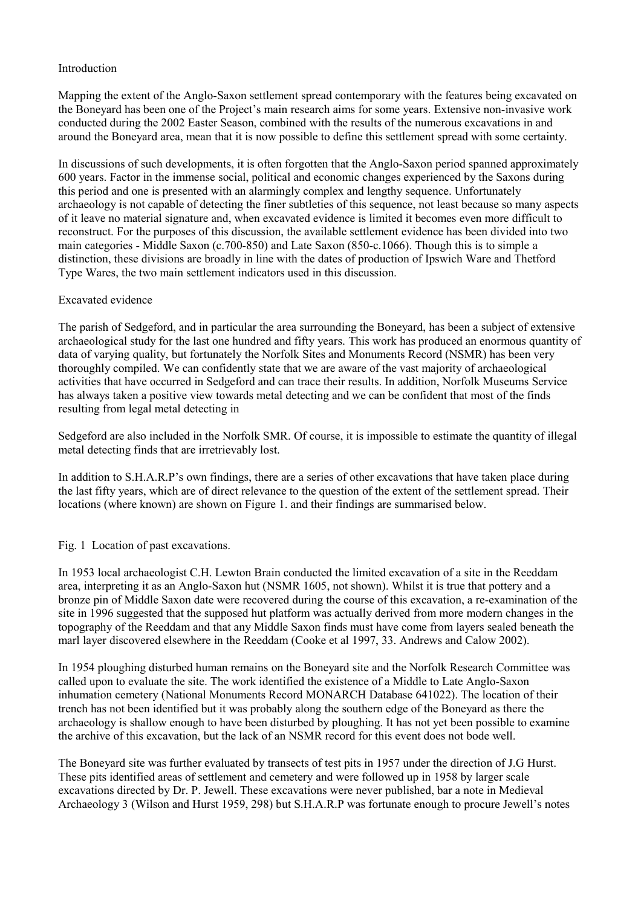# Introduction

Mapping the extent of the Anglo-Saxon settlement spread contemporary with the features being excavated on the Boneyard has been one of the Project's main research aims for some years. Extensive non-invasive work conducted during the 2002 Easter Season, combined with the results of the numerous excavations in and around the Boneyard area, mean that it is now possible to define this settlement spread with some certainty.

In discussions of such developments, it is often forgotten that the Anglo-Saxon period spanned approximately 600 years. Factor in the immense social, political and economic changes experienced by the Saxons during this period and one is presented with an alarmingly complex and lengthy sequence. Unfortunately archaeology is not capable of detecting the finer subtleties of this sequence, not least because so many aspects of it leave no material signature and, when excavated evidence is limited it becomes even more difficult to reconstruct. For the purposes of this discussion, the available settlement evidence has been divided into two main categories - Middle Saxon (c.700-850) and Late Saxon (850-c.1066). Though this is to simple a distinction, these divisions are broadly in line with the dates of production of Ipswich Ware and Thetford Type Wares, the two main settlement indicators used in this discussion.

# Excavated evidence

The parish of Sedgeford, and in particular the area surrounding the Boneyard, has been a subject of extensive archaeological study for the last one hundred and fifty years. This work has produced an enormous quantity of data of varying quality, but fortunately the Norfolk Sites and Monuments Record (NSMR) has been very thoroughly compiled. We can confidently state that we are aware of the vast majority of archaeological activities that have occurred in Sedgeford and can trace their results. In addition, Norfolk Museums Service has always taken a positive view towards metal detecting and we can be confident that most of the finds resulting from legal metal detecting in

Sedgeford are also included in the Norfolk SMR. Of course, it is impossible to estimate the quantity of illegal metal detecting finds that are irretrievably lost.

In addition to S.H.A.R.P's own findings, there are a series of other excavations that have taken place during the last fifty years, which are of direct relevance to the question of the extent of the settlement spread. Their locations (where known) are shown on Figure 1. and their findings are summarised below.

# Fig. 1 Location of past excavations.

In 1953 local archaeologist C.H. Lewton Brain conducted the limited excavation of a site in the Reeddam area, interpreting it as an Anglo-Saxon hut (NSMR 1605, not shown). Whilst it is true that pottery and a bronze pin of Middle Saxon date were recovered during the course of this excavation, a re-examination of the site in 1996 suggested that the supposed hut platform was actually derived from more modern changes in the topography of the Reeddam and that any Middle Saxon finds must have come from layers sealed beneath the marl layer discovered elsewhere in the Reeddam (Cooke et al 1997, 33. Andrews and Calow 2002).

In 1954 ploughing disturbed human remains on the Boneyard site and the Norfolk Research Committee was called upon to evaluate the site. The work identified the existence of a Middle to Late Anglo-Saxon inhumation cemetery (National Monuments Record MONARCH Database 641022). The location of their trench has not been identified but it was probably along the southern edge of the Boneyard as there the archaeology is shallow enough to have been disturbed by ploughing. It has not yet been possible to examine the archive of this excavation, but the lack of an NSMR record for this event does not bode well.

The Boneyard site was further evaluated by transects of test pits in 1957 under the direction of J.G Hurst. These pits identified areas of settlement and cemetery and were followed up in 1958 by larger scale excavations directed by Dr. P. Jewell. These excavations were never published, bar a note in Medieval Archaeology 3 (Wilson and Hurst 1959, 298) but S.H.A.R.P was fortunate enough to procure Jewell's notes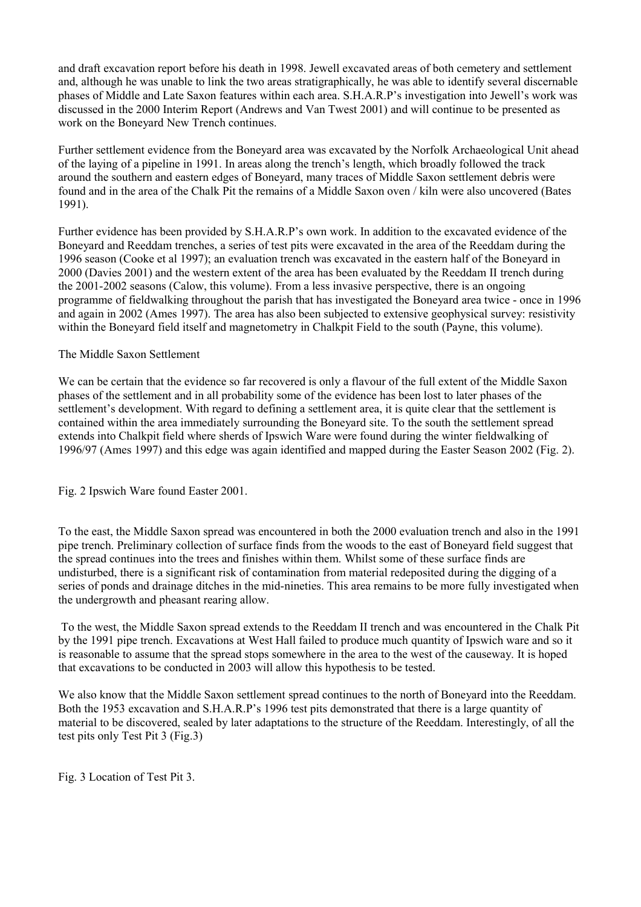and draft excavation report before his death in 1998. Jewell excavated areas of both cemetery and settlement and, although he was unable to link the two areas stratigraphically, he was able to identify several discernable phases of Middle and Late Saxon features within each area. S.H.A.R.P's investigation into Jewell's work was discussed in the 2000 Interim Report (Andrews and Van Twest 2001) and will continue to be presented as work on the Boneyard New Trench continues.

Further settlement evidence from the Boneyard area was excavated by the Norfolk Archaeological Unit ahead of the laying of a pipeline in 1991. In areas along the trench's length, which broadly followed the track around the southern and eastern edges of Boneyard, many traces of Middle Saxon settlement debris were found and in the area of the Chalk Pit the remains of a Middle Saxon oven / kiln were also uncovered (Bates 1991).

Further evidence has been provided by S.H.A.R.P's own work. In addition to the excavated evidence of the Boneyard and Reeddam trenches, a series of test pits were excavated in the area of the Reeddam during the 1996 season (Cooke et al 1997); an evaluation trench was excavated in the eastern half of the Boneyard in 2000 (Davies 2001) and the western extent of the area has been evaluated by the Reeddam II trench during the 2001-2002 seasons (Calow, this volume). From a less invasive perspective, there is an ongoing programme of fieldwalking throughout the parish that has investigated the Boneyard area twice - once in 1996 and again in 2002 (Ames 1997). The area has also been subjected to extensive geophysical survey: resistivity within the Boneyard field itself and magnetometry in Chalkpit Field to the south (Payne, this volume).

# The Middle Saxon Settlement

We can be certain that the evidence so far recovered is only a flavour of the full extent of the Middle Saxon phases of the settlement and in all probability some of the evidence has been lost to later phases of the settlement's development. With regard to defining a settlement area, it is quite clear that the settlement is contained within the area immediately surrounding the Boneyard site. To the south the settlement spread extends into Chalkpit field where sherds of Ipswich Ware were found during the winter fieldwalking of 1996/97 (Ames 1997) and this edge was again identified and mapped during the Easter Season 2002 (Fig. 2).

Fig. 2 Ipswich Ware found Easter 2001.

To the east, the Middle Saxon spread was encountered in both the 2000 evaluation trench and also in the 1991 pipe trench. Preliminary collection of surface finds from the woods to the east of Boneyard field suggest that the spread continues into the trees and finishes within them. Whilst some of these surface finds are undisturbed, there is a significant risk of contamination from material redeposited during the digging of a series of ponds and drainage ditches in the mid-nineties. This area remains to be more fully investigated when the undergrowth and pheasant rearing allow.

 To the west, the Middle Saxon spread extends to the Reeddam II trench and was encountered in the Chalk Pit by the 1991 pipe trench. Excavations at West Hall failed to produce much quantity of Ipswich ware and so it is reasonable to assume that the spread stops somewhere in the area to the west of the causeway. It is hoped that excavations to be conducted in 2003 will allow this hypothesis to be tested.

We also know that the Middle Saxon settlement spread continues to the north of Boneyard into the Reeddam. Both the 1953 excavation and S.H.A.R.P's 1996 test pits demonstrated that there is a large quantity of material to be discovered, sealed by later adaptations to the structure of the Reeddam. Interestingly, of all the test pits only Test Pit 3 (Fig.3)

Fig. 3 Location of Test Pit 3.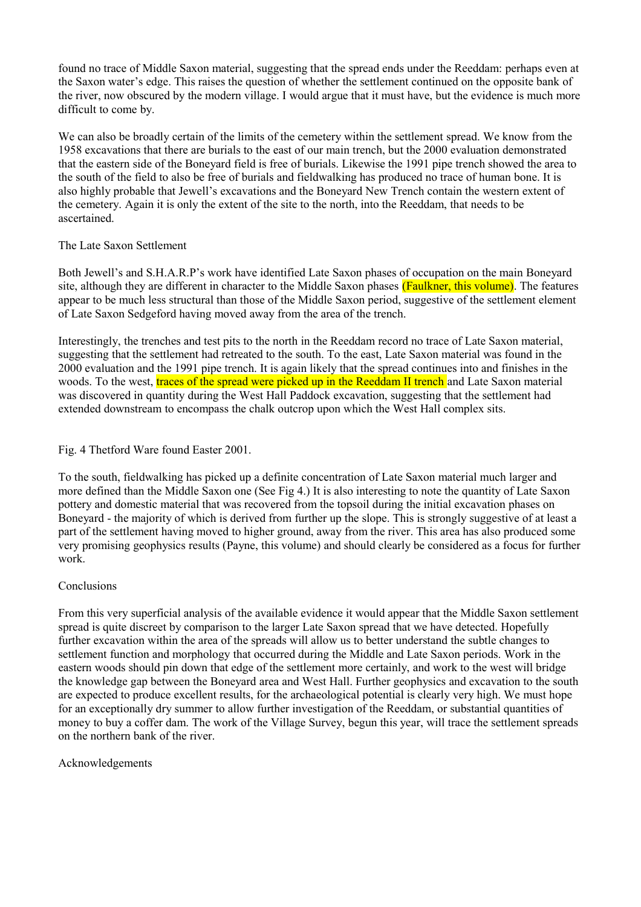found no trace of Middle Saxon material, suggesting that the spread ends under the Reeddam: perhaps even at the Saxon water's edge. This raises the question of whether the settlement continued on the opposite bank of the river, now obscured by the modern village. I would argue that it must have, but the evidence is much more difficult to come by.

We can also be broadly certain of the limits of the cemetery within the settlement spread. We know from the 1958 excavations that there are burials to the east of our main trench, but the 2000 evaluation demonstrated that the eastern side of the Boneyard field is free of burials. Likewise the 1991 pipe trench showed the area to the south of the field to also be free of burials and fieldwalking has produced no trace of human bone. It is also highly probable that Jewell's excavations and the Boneyard New Trench contain the western extent of the cemetery. Again it is only the extent of the site to the north, into the Reeddam, that needs to be ascertained.

# The Late Saxon Settlement

Both Jewell's and S.H.A.R.P's work have identified Late Saxon phases of occupation on the main Boneyard site, although they are different in character to the Middle Saxon phases (Faulkner, this volume). The features appear to be much less structural than those of the Middle Saxon period, suggestive of the settlement element of Late Saxon Sedgeford having moved away from the area of the trench.

Interestingly, the trenches and test pits to the north in the Reeddam record no trace of Late Saxon material, suggesting that the settlement had retreated to the south. To the east, Late Saxon material was found in the 2000 evaluation and the 1991 pipe trench. It is again likely that the spread continues into and finishes in the woods. To the west, traces of the spread were picked up in the Reeddam II trench and Late Saxon material was discovered in quantity during the West Hall Paddock excavation, suggesting that the settlement had extended downstream to encompass the chalk outcrop upon which the West Hall complex sits.

# Fig. 4 Thetford Ware found Easter 2001.

To the south, fieldwalking has picked up a definite concentration of Late Saxon material much larger and more defined than the Middle Saxon one (See Fig 4.) It is also interesting to note the quantity of Late Saxon pottery and domestic material that was recovered from the topsoil during the initial excavation phases on Boneyard - the majority of which is derived from further up the slope. This is strongly suggestive of at least a part of the settlement having moved to higher ground, away from the river. This area has also produced some very promising geophysics results (Payne, this volume) and should clearly be considered as a focus for further work.

# Conclusions

From this very superficial analysis of the available evidence it would appear that the Middle Saxon settlement spread is quite discreet by comparison to the larger Late Saxon spread that we have detected. Hopefully further excavation within the area of the spreads will allow us to better understand the subtle changes to settlement function and morphology that occurred during the Middle and Late Saxon periods. Work in the eastern woods should pin down that edge of the settlement more certainly, and work to the west will bridge the knowledge gap between the Boneyard area and West Hall. Further geophysics and excavation to the south are expected to produce excellent results, for the archaeological potential is clearly very high. We must hope for an exceptionally dry summer to allow further investigation of the Reeddam, or substantial quantities of money to buy a coffer dam. The work of the Village Survey, begun this year, will trace the settlement spreads on the northern bank of the river.

# Acknowledgements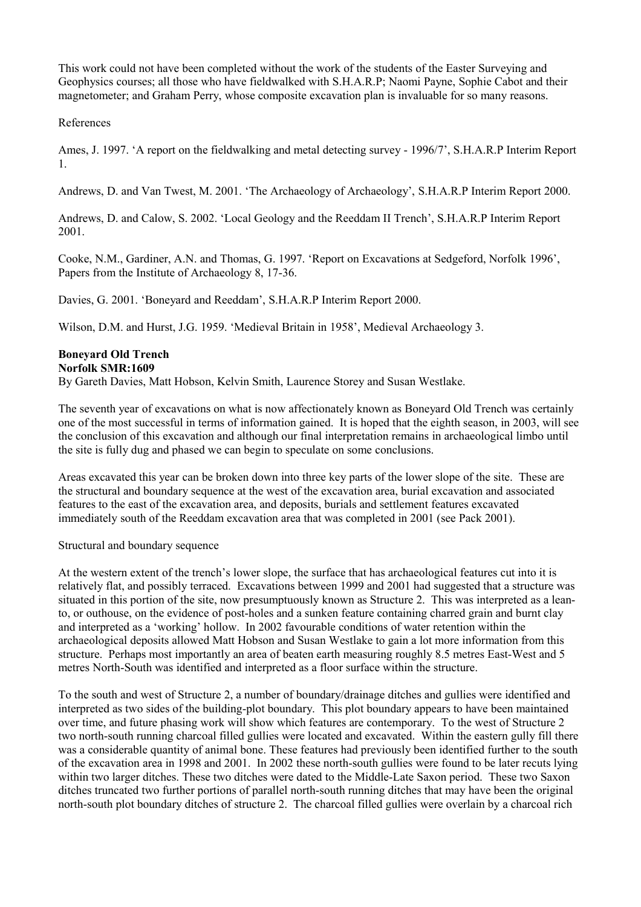This work could not have been completed without the work of the students of the Easter Surveying and Geophysics courses; all those who have fieldwalked with S.H.A.R.P; Naomi Payne, Sophie Cabot and their magnetometer; and Graham Perry, whose composite excavation plan is invaluable for so many reasons.

# References

Ames, J. 1997. 'A report on the fieldwalking and metal detecting survey - 1996/7', S.H.A.R.P Interim Report 1.

Andrews, D. and Van Twest, M. 2001. 'The Archaeology of Archaeology', S.H.A.R.P Interim Report 2000.

Andrews, D. and Calow, S. 2002. 'Local Geology and the Reeddam II Trench', S.H.A.R.P Interim Report 2001.

Cooke, N.M., Gardiner, A.N. and Thomas, G. 1997. 'Report on Excavations at Sedgeford, Norfolk 1996', Papers from the Institute of Archaeology 8, 17-36.

Davies, G. 2001. 'Boneyard and Reeddam', S.H.A.R.P Interim Report 2000.

Wilson, D.M. and Hurst, J.G. 1959. 'Medieval Britain in 1958', Medieval Archaeology 3.

#### **Boneyard Old Trench Norfolk SMR:1609**

By Gareth Davies, Matt Hobson, Kelvin Smith, Laurence Storey and Susan Westlake.

The seventh year of excavations on what is now affectionately known as Boneyard Old Trench was certainly one of the most successful in terms of information gained. It is hoped that the eighth season, in 2003, will see the conclusion of this excavation and although our final interpretation remains in archaeological limbo until the site is fully dug and phased we can begin to speculate on some conclusions.

Areas excavated this year can be broken down into three key parts of the lower slope of the site. These are the structural and boundary sequence at the west of the excavation area, burial excavation and associated features to the east of the excavation area, and deposits, burials and settlement features excavated immediately south of the Reeddam excavation area that was completed in 2001 (see Pack 2001).

Structural and boundary sequence

At the western extent of the trench's lower slope, the surface that has archaeological features cut into it is relatively flat, and possibly terraced. Excavations between 1999 and 2001 had suggested that a structure was situated in this portion of the site, now presumptuously known as Structure 2. This was interpreted as a leanto, or outhouse, on the evidence of post-holes and a sunken feature containing charred grain and burnt clay and interpreted as a 'working' hollow. In 2002 favourable conditions of water retention within the archaeological deposits allowed Matt Hobson and Susan Westlake to gain a lot more information from this structure. Perhaps most importantly an area of beaten earth measuring roughly 8.5 metres East-West and 5 metres North-South was identified and interpreted as a floor surface within the structure.

To the south and west of Structure 2, a number of boundary/drainage ditches and gullies were identified and interpreted as two sides of the building-plot boundary. This plot boundary appears to have been maintained over time, and future phasing work will show which features are contemporary. To the west of Structure 2 two north-south running charcoal filled gullies were located and excavated. Within the eastern gully fill there was a considerable quantity of animal bone. These features had previously been identified further to the south of the excavation area in 1998 and 2001. In 2002 these north-south gullies were found to be later recuts lying within two larger ditches. These two ditches were dated to the Middle-Late Saxon period. These two Saxon ditches truncated two further portions of parallel north-south running ditches that may have been the original north-south plot boundary ditches of structure 2. The charcoal filled gullies were overlain by a charcoal rich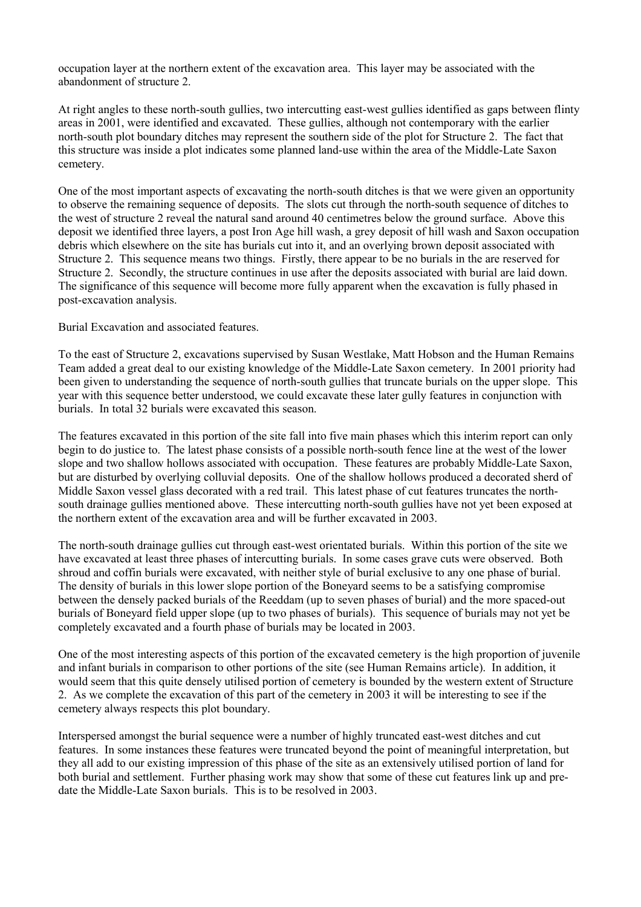occupation layer at the northern extent of the excavation area. This layer may be associated with the abandonment of structure 2.

At right angles to these north-south gullies, two intercutting east-west gullies identified as gaps between flinty areas in 2001, were identified and excavated. These gullies, although not contemporary with the earlier north-south plot boundary ditches may represent the southern side of the plot for Structure 2. The fact that this structure was inside a plot indicates some planned land-use within the area of the Middle-Late Saxon cemetery.

One of the most important aspects of excavating the north-south ditches is that we were given an opportunity to observe the remaining sequence of deposits. The slots cut through the north-south sequence of ditches to the west of structure 2 reveal the natural sand around 40 centimetres below the ground surface. Above this deposit we identified three layers, a post Iron Age hill wash, a grey deposit of hill wash and Saxon occupation debris which elsewhere on the site has burials cut into it, and an overlying brown deposit associated with Structure 2. This sequence means two things. Firstly, there appear to be no burials in the are reserved for Structure 2. Secondly, the structure continues in use after the deposits associated with burial are laid down. The significance of this sequence will become more fully apparent when the excavation is fully phased in post-excavation analysis.

Burial Excavation and associated features.

To the east of Structure 2, excavations supervised by Susan Westlake, Matt Hobson and the Human Remains Team added a great deal to our existing knowledge of the Middle-Late Saxon cemetery. In 2001 priority had been given to understanding the sequence of north-south gullies that truncate burials on the upper slope. This year with this sequence better understood, we could excavate these later gully features in conjunction with burials. In total 32 burials were excavated this season.

The features excavated in this portion of the site fall into five main phases which this interim report can only begin to do justice to. The latest phase consists of a possible north-south fence line at the west of the lower slope and two shallow hollows associated with occupation. These features are probably Middle-Late Saxon, but are disturbed by overlying colluvial deposits. One of the shallow hollows produced a decorated sherd of Middle Saxon vessel glass decorated with a red trail. This latest phase of cut features truncates the northsouth drainage gullies mentioned above. These intercutting north-south gullies have not yet been exposed at the northern extent of the excavation area and will be further excavated in 2003.

The north-south drainage gullies cut through east-west orientated burials. Within this portion of the site we have excavated at least three phases of intercutting burials. In some cases grave cuts were observed. Both shroud and coffin burials were excavated, with neither style of burial exclusive to any one phase of burial. The density of burials in this lower slope portion of the Boneyard seems to be a satisfying compromise between the densely packed burials of the Reeddam (up to seven phases of burial) and the more spaced-out burials of Boneyard field upper slope (up to two phases of burials). This sequence of burials may not yet be completely excavated and a fourth phase of burials may be located in 2003.

One of the most interesting aspects of this portion of the excavated cemetery is the high proportion of juvenile and infant burials in comparison to other portions of the site (see Human Remains article). In addition, it would seem that this quite densely utilised portion of cemetery is bounded by the western extent of Structure 2. As we complete the excavation of this part of the cemetery in 2003 it will be interesting to see if the cemetery always respects this plot boundary.

Interspersed amongst the burial sequence were a number of highly truncated east-west ditches and cut features. In some instances these features were truncated beyond the point of meaningful interpretation, but they all add to our existing impression of this phase of the site as an extensively utilised portion of land for both burial and settlement. Further phasing work may show that some of these cut features link up and predate the Middle-Late Saxon burials. This is to be resolved in 2003.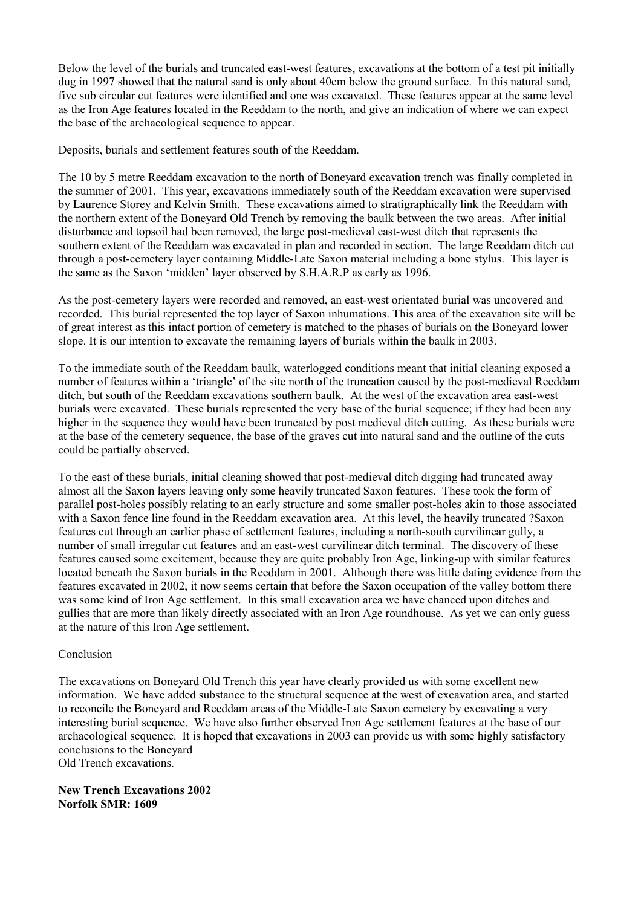Below the level of the burials and truncated east-west features, excavations at the bottom of a test pit initially dug in 1997 showed that the natural sand is only about 40cm below the ground surface. In this natural sand, five sub circular cut features were identified and one was excavated. These features appear at the same level as the Iron Age features located in the Reeddam to the north, and give an indication of where we can expect the base of the archaeological sequence to appear.

Deposits, burials and settlement features south of the Reeddam.

The 10 by 5 metre Reeddam excavation to the north of Boneyard excavation trench was finally completed in the summer of 2001. This year, excavations immediately south of the Reeddam excavation were supervised by Laurence Storey and Kelvin Smith. These excavations aimed to stratigraphically link the Reeddam with the northern extent of the Boneyard Old Trench by removing the baulk between the two areas. After initial disturbance and topsoil had been removed, the large post-medieval east-west ditch that represents the southern extent of the Reeddam was excavated in plan and recorded in section. The large Reeddam ditch cut through a post-cemetery layer containing Middle-Late Saxon material including a bone stylus. This layer is the same as the Saxon 'midden' layer observed by S.H.A.R.P as early as 1996.

As the post-cemetery layers were recorded and removed, an east-west orientated burial was uncovered and recorded. This burial represented the top layer of Saxon inhumations. This area of the excavation site will be of great interest as this intact portion of cemetery is matched to the phases of burials on the Boneyard lower slope. It is our intention to excavate the remaining layers of burials within the baulk in 2003.

To the immediate south of the Reeddam baulk, waterlogged conditions meant that initial cleaning exposed a number of features within a 'triangle' of the site north of the truncation caused by the post-medieval Reeddam ditch, but south of the Reeddam excavations southern baulk. At the west of the excavation area east-west burials were excavated. These burials represented the very base of the burial sequence; if they had been any higher in the sequence they would have been truncated by post medieval ditch cutting. As these burials were at the base of the cemetery sequence, the base of the graves cut into natural sand and the outline of the cuts could be partially observed.

To the east of these burials, initial cleaning showed that post-medieval ditch digging had truncated away almost all the Saxon layers leaving only some heavily truncated Saxon features. These took the form of parallel post-holes possibly relating to an early structure and some smaller post-holes akin to those associated with a Saxon fence line found in the Reeddam excavation area. At this level, the heavily truncated ?Saxon features cut through an earlier phase of settlement features, including a north-south curvilinear gully, a number of small irregular cut features and an east-west curvilinear ditch terminal. The discovery of these features caused some excitement, because they are quite probably Iron Age, linking-up with similar features located beneath the Saxon burials in the Reeddam in 2001. Although there was little dating evidence from the features excavated in 2002, it now seems certain that before the Saxon occupation of the valley bottom there was some kind of Iron Age settlement. In this small excavation area we have chanced upon ditches and gullies that are more than likely directly associated with an Iron Age roundhouse. As yet we can only guess at the nature of this Iron Age settlement.

# Conclusion

The excavations on Boneyard Old Trench this year have clearly provided us with some excellent new information. We have added substance to the structural sequence at the west of excavation area, and started to reconcile the Boneyard and Reeddam areas of the Middle-Late Saxon cemetery by excavating a very interesting burial sequence. We have also further observed Iron Age settlement features at the base of our archaeological sequence. It is hoped that excavations in 2003 can provide us with some highly satisfactory conclusions to the Boneyard Old Trench excavations.

**New Trench Excavations 2002 Norfolk SMR: 1609**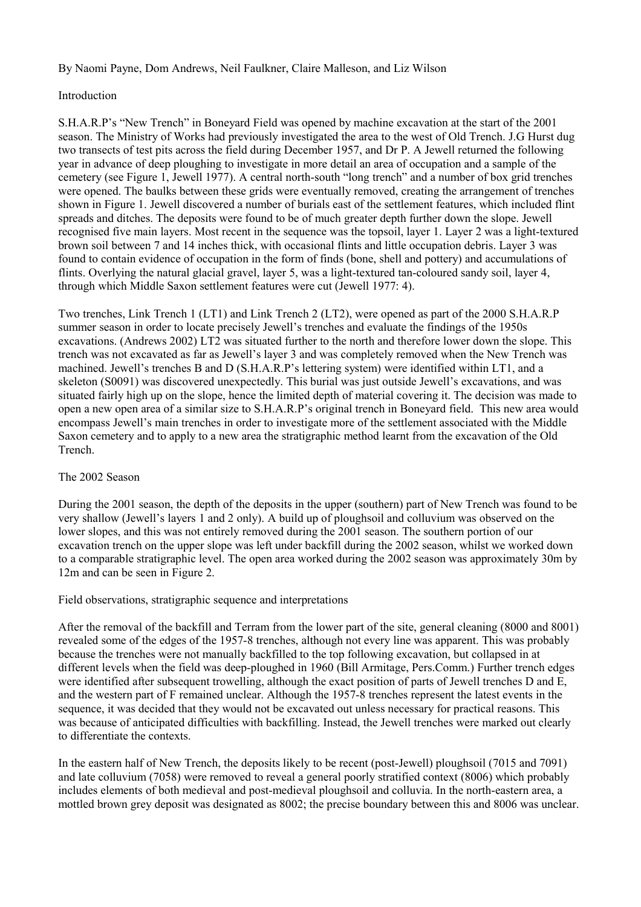By Naomi Payne, Dom Andrews, Neil Faulkner, Claire Malleson, and Liz Wilson

# Introduction

S.H.A.R.P's "New Trench" in Boneyard Field was opened by machine excavation at the start of the 2001 season. The Ministry of Works had previously investigated the area to the west of Old Trench. J.G Hurst dug two transects of test pits across the field during December 1957, and Dr P. A Jewell returned the following year in advance of deep ploughing to investigate in more detail an area of occupation and a sample of the cemetery (see Figure 1, Jewell 1977). A central north-south "long trench" and a number of box grid trenches were opened. The baulks between these grids were eventually removed, creating the arrangement of trenches shown in Figure 1. Jewell discovered a number of burials east of the settlement features, which included flint spreads and ditches. The deposits were found to be of much greater depth further down the slope. Jewell recognised five main layers. Most recent in the sequence was the topsoil, layer 1. Layer 2 was a light-textured brown soil between 7 and 14 inches thick, with occasional flints and little occupation debris. Layer 3 was found to contain evidence of occupation in the form of finds (bone, shell and pottery) and accumulations of flints. Overlying the natural glacial gravel, layer 5, was a light-textured tan-coloured sandy soil, layer 4, through which Middle Saxon settlement features were cut (Jewell 1977: 4).

Two trenches, Link Trench 1 (LT1) and Link Trench 2 (LT2), were opened as part of the 2000 S.H.A.R.P summer season in order to locate precisely Jewell's trenches and evaluate the findings of the 1950s excavations. (Andrews 2002) LT2 was situated further to the north and therefore lower down the slope. This trench was not excavated as far as Jewell's layer 3 and was completely removed when the New Trench was machined. Jewell's trenches B and D (S.H.A.R.P's lettering system) were identified within LT1, and a skeleton (S0091) was discovered unexpectedly. This burial was just outside Jewell's excavations, and was situated fairly high up on the slope, hence the limited depth of material covering it. The decision was made to open a new open area of a similar size to S.H.A.R.P's original trench in Boneyard field. This new area would encompass Jewell's main trenches in order to investigate more of the settlement associated with the Middle Saxon cemetery and to apply to a new area the stratigraphic method learnt from the excavation of the Old Trench.

# The 2002 Season

During the 2001 season, the depth of the deposits in the upper (southern) part of New Trench was found to be very shallow (Jewell's layers 1 and 2 only). A build up of ploughsoil and colluvium was observed on the lower slopes, and this was not entirely removed during the 2001 season. The southern portion of our excavation trench on the upper slope was left under backfill during the 2002 season, whilst we worked down to a comparable stratigraphic level. The open area worked during the 2002 season was approximately 30m by 12m and can be seen in Figure 2.

# Field observations, stratigraphic sequence and interpretations

After the removal of the backfill and Terram from the lower part of the site, general cleaning (8000 and 8001) revealed some of the edges of the 1957-8 trenches, although not every line was apparent. This was probably because the trenches were not manually backfilled to the top following excavation, but collapsed in at different levels when the field was deep-ploughed in 1960 (Bill Armitage, Pers.Comm.) Further trench edges were identified after subsequent trowelling, although the exact position of parts of Jewell trenches D and E, and the western part of F remained unclear. Although the 1957-8 trenches represent the latest events in the sequence, it was decided that they would not be excavated out unless necessary for practical reasons. This was because of anticipated difficulties with backfilling. Instead, the Jewell trenches were marked out clearly to differentiate the contexts.

In the eastern half of New Trench, the deposits likely to be recent (post-Jewell) ploughsoil (7015 and 7091) and late colluvium (7058) were removed to reveal a general poorly stratified context (8006) which probably includes elements of both medieval and post-medieval ploughsoil and colluvia. In the north-eastern area, a mottled brown grey deposit was designated as 8002; the precise boundary between this and 8006 was unclear.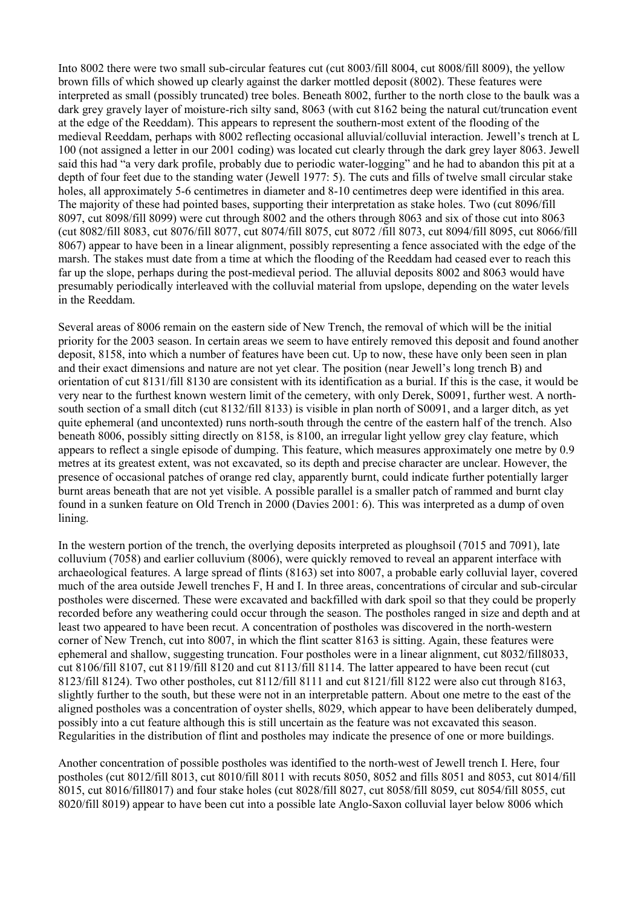Into 8002 there were two small sub-circular features cut (cut 8003/fill 8004, cut 8008/fill 8009), the yellow brown fills of which showed up clearly against the darker mottled deposit (8002). These features were interpreted as small (possibly truncated) tree boles. Beneath 8002, further to the north close to the baulk was a dark grey gravely layer of moisture-rich silty sand, 8063 (with cut 8162 being the natural cut/truncation event at the edge of the Reeddam). This appears to represent the southern-most extent of the flooding of the medieval Reeddam, perhaps with 8002 reflecting occasional alluvial/colluvial interaction. Jewell's trench at L 100 (not assigned a letter in our 2001 coding) was located cut clearly through the dark grey layer 8063. Jewell said this had "a very dark profile, probably due to periodic water-logging" and he had to abandon this pit at a depth of four feet due to the standing water (Jewell 1977: 5). The cuts and fills of twelve small circular stake holes, all approximately 5-6 centimetres in diameter and 8-10 centimetres deep were identified in this area. The majority of these had pointed bases, supporting their interpretation as stake holes. Two (cut 8096/fill 8097, cut 8098/fill 8099) were cut through 8002 and the others through 8063 and six of those cut into 8063 (cut 8082/fill 8083, cut 8076/fill 8077, cut 8074/fill 8075, cut 8072 /fill 8073, cut 8094/fill 8095, cut 8066/fill 8067) appear to have been in a linear alignment, possibly representing a fence associated with the edge of the marsh. The stakes must date from a time at which the flooding of the Reeddam had ceased ever to reach this far up the slope, perhaps during the post-medieval period. The alluvial deposits 8002 and 8063 would have presumably periodically interleaved with the colluvial material from upslope, depending on the water levels in the Reeddam.

Several areas of 8006 remain on the eastern side of New Trench, the removal of which will be the initial priority for the 2003 season. In certain areas we seem to have entirely removed this deposit and found another deposit, 8158, into which a number of features have been cut. Up to now, these have only been seen in plan and their exact dimensions and nature are not yet clear. The position (near Jewell's long trench B) and orientation of cut 8131/fill 8130 are consistent with its identification as a burial. If this is the case, it would be very near to the furthest known western limit of the cemetery, with only Derek, S0091, further west. A northsouth section of a small ditch (cut 8132/fill 8133) is visible in plan north of S0091, and a larger ditch, as yet quite ephemeral (and uncontexted) runs north-south through the centre of the eastern half of the trench. Also beneath 8006, possibly sitting directly on 8158, is 8100, an irregular light yellow grey clay feature, which appears to reflect a single episode of dumping. This feature, which measures approximately one metre by 0.9 metres at its greatest extent, was not excavated, so its depth and precise character are unclear. However, the presence of occasional patches of orange red clay, apparently burnt, could indicate further potentially larger burnt areas beneath that are not yet visible. A possible parallel is a smaller patch of rammed and burnt clay found in a sunken feature on Old Trench in 2000 (Davies 2001: 6). This was interpreted as a dump of oven lining.

In the western portion of the trench, the overlying deposits interpreted as ploughsoil (7015 and 7091), late colluvium (7058) and earlier colluvium (8006), were quickly removed to reveal an apparent interface with archaeological features. A large spread of flints (8163) set into 8007, a probable early colluvial layer, covered much of the area outside Jewell trenches F, H and I. In three areas, concentrations of circular and sub-circular postholes were discerned. These were excavated and backfilled with dark spoil so that they could be properly recorded before any weathering could occur through the season. The postholes ranged in size and depth and at least two appeared to have been recut. A concentration of postholes was discovered in the north-western corner of New Trench, cut into 8007, in which the flint scatter 8163 is sitting. Again, these features were ephemeral and shallow, suggesting truncation. Four postholes were in a linear alignment, cut 8032/fill8033, cut 8106/fill 8107, cut 8119/fill 8120 and cut 8113/fill 8114. The latter appeared to have been recut (cut 8123/fill 8124). Two other postholes, cut 8112/fill 8111 and cut 8121/fill 8122 were also cut through 8163, slightly further to the south, but these were not in an interpretable pattern. About one metre to the east of the aligned postholes was a concentration of oyster shells, 8029, which appear to have been deliberately dumped, possibly into a cut feature although this is still uncertain as the feature was not excavated this season. Regularities in the distribution of flint and postholes may indicate the presence of one or more buildings.

Another concentration of possible postholes was identified to the north-west of Jewell trench I. Here, four postholes (cut 8012/fill 8013, cut 8010/fill 8011 with recuts 8050, 8052 and fills 8051 and 8053, cut 8014/fill 8015, cut 8016/fill8017) and four stake holes (cut 8028/fill 8027, cut 8058/fill 8059, cut 8054/fill 8055, cut 8020/fill 8019) appear to have been cut into a possible late Anglo-Saxon colluvial layer below 8006 which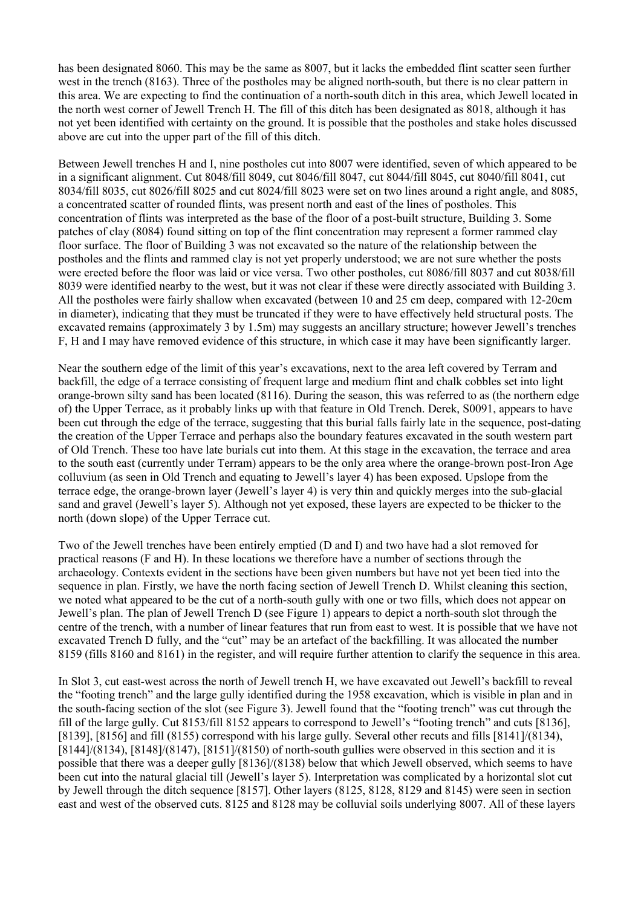has been designated 8060. This may be the same as 8007, but it lacks the embedded flint scatter seen further west in the trench (8163). Three of the postholes may be aligned north-south, but there is no clear pattern in this area. We are expecting to find the continuation of a north-south ditch in this area, which Jewell located in the north west corner of Jewell Trench H. The fill of this ditch has been designated as 8018, although it has not yet been identified with certainty on the ground. It is possible that the postholes and stake holes discussed above are cut into the upper part of the fill of this ditch.

Between Jewell trenches H and I, nine postholes cut into 8007 were identified, seven of which appeared to be in a significant alignment. Cut 8048/fill 8049, cut 8046/fill 8047, cut 8044/fill 8045, cut 8040/fill 8041, cut 8034/fill 8035, cut 8026/fill 8025 and cut 8024/fill 8023 were set on two lines around a right angle, and 8085, a concentrated scatter of rounded flints, was present north and east of the lines of postholes. This concentration of flints was interpreted as the base of the floor of a post-built structure, Building 3. Some patches of clay (8084) found sitting on top of the flint concentration may represent a former rammed clay floor surface. The floor of Building 3 was not excavated so the nature of the relationship between the postholes and the flints and rammed clay is not yet properly understood; we are not sure whether the posts were erected before the floor was laid or vice versa. Two other postholes, cut 8086/fill 8037 and cut 8038/fill 8039 were identified nearby to the west, but it was not clear if these were directly associated with Building 3. All the postholes were fairly shallow when excavated (between 10 and 25 cm deep, compared with 12-20cm in diameter), indicating that they must be truncated if they were to have effectively held structural posts. The excavated remains (approximately 3 by 1.5m) may suggests an ancillary structure; however Jewell's trenches F, H and I may have removed evidence of this structure, in which case it may have been significantly larger.

Near the southern edge of the limit of this year's excavations, next to the area left covered by Terram and backfill, the edge of a terrace consisting of frequent large and medium flint and chalk cobbles set into light orange-brown silty sand has been located (8116). During the season, this was referred to as (the northern edge of) the Upper Terrace, as it probably links up with that feature in Old Trench. Derek, S0091, appears to have been cut through the edge of the terrace, suggesting that this burial falls fairly late in the sequence, post-dating the creation of the Upper Terrace and perhaps also the boundary features excavated in the south western part of Old Trench. These too have late burials cut into them. At this stage in the excavation, the terrace and area to the south east (currently under Terram) appears to be the only area where the orange-brown post-Iron Age colluvium (as seen in Old Trench and equating to Jewell's layer 4) has been exposed. Upslope from the terrace edge, the orange-brown layer (Jewell's layer 4) is very thin and quickly merges into the sub-glacial sand and gravel (Jewell's layer 5). Although not yet exposed, these layers are expected to be thicker to the north (down slope) of the Upper Terrace cut.

Two of the Jewell trenches have been entirely emptied (D and I) and two have had a slot removed for practical reasons (F and H). In these locations we therefore have a number of sections through the archaeology. Contexts evident in the sections have been given numbers but have not yet been tied into the sequence in plan. Firstly, we have the north facing section of Jewell Trench D. Whilst cleaning this section, we noted what appeared to be the cut of a north-south gully with one or two fills, which does not appear on Jewell's plan. The plan of Jewell Trench D (see Figure 1) appears to depict a north-south slot through the centre of the trench, with a number of linear features that run from east to west. It is possible that we have not excavated Trench D fully, and the "cut" may be an artefact of the backfilling. It was allocated the number 8159 (fills 8160 and 8161) in the register, and will require further attention to clarify the sequence in this area.

In Slot 3, cut east-west across the north of Jewell trench H, we have excavated out Jewell's backfill to reveal the "footing trench" and the large gully identified during the 1958 excavation, which is visible in plan and in the south-facing section of the slot (see Figure 3). Jewell found that the "footing trench" was cut through the fill of the large gully. Cut 8153/fill 8152 appears to correspond to Jewell's "footing trench" and cuts [8136], [8139], [8156] and fill (8155) correspond with his large gully. Several other recuts and fills [8141]/(8134),  $[8144]/[8134]$ ,  $[8148]/[8147]$ ,  $[8151]/[8150]$  of north-south gullies were observed in this section and it is possible that there was a deeper gully [8136]/(8138) below that which Jewell observed, which seems to have been cut into the natural glacial till (Jewell's layer 5). Interpretation was complicated by a horizontal slot cut by Jewell through the ditch sequence [8157]. Other layers (8125, 8128, 8129 and 8145) were seen in section east and west of the observed cuts. 8125 and 8128 may be colluvial soils underlying 8007. All of these layers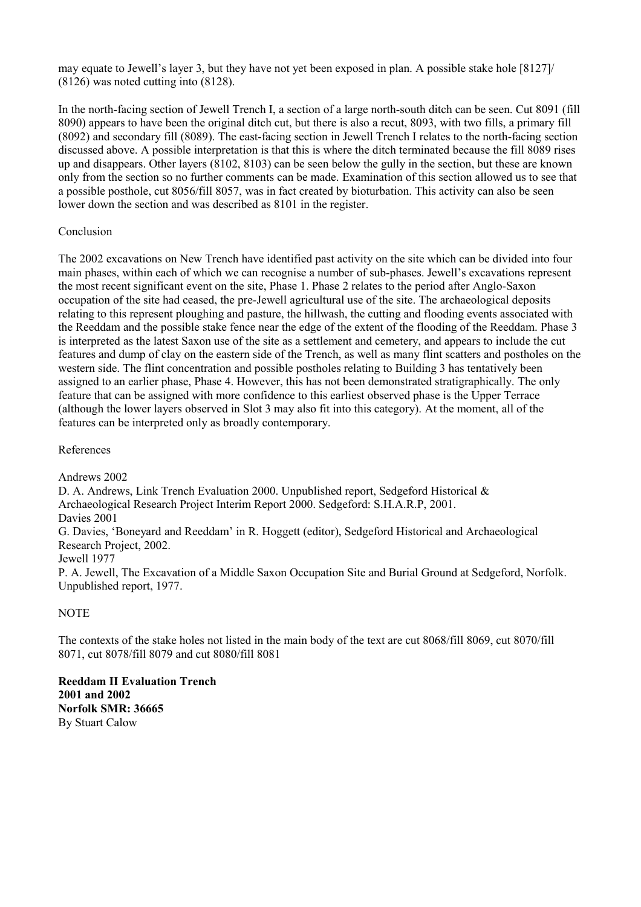may equate to Jewell's layer 3, but they have not yet been exposed in plan. A possible stake hole [8127]/ (8126) was noted cutting into (8128).

In the north-facing section of Jewell Trench I, a section of a large north-south ditch can be seen. Cut 8091 (fill 8090) appears to have been the original ditch cut, but there is also a recut, 8093, with two fills, a primary fill (8092) and secondary fill (8089). The east-facing section in Jewell Trench I relates to the north-facing section discussed above. A possible interpretation is that this is where the ditch terminated because the fill 8089 rises up and disappears. Other layers (8102, 8103) can be seen below the gully in the section, but these are known only from the section so no further comments can be made. Examination of this section allowed us to see that a possible posthole, cut 8056/fill 8057, was in fact created by bioturbation. This activity can also be seen lower down the section and was described as 8101 in the register.

# Conclusion

The 2002 excavations on New Trench have identified past activity on the site which can be divided into four main phases, within each of which we can recognise a number of sub-phases. Jewell's excavations represent the most recent significant event on the site, Phase 1. Phase 2 relates to the period after Anglo-Saxon occupation of the site had ceased, the pre-Jewell agricultural use of the site. The archaeological deposits relating to this represent ploughing and pasture, the hillwash, the cutting and flooding events associated with the Reeddam and the possible stake fence near the edge of the extent of the flooding of the Reeddam. Phase 3 is interpreted as the latest Saxon use of the site as a settlement and cemetery, and appears to include the cut features and dump of clay on the eastern side of the Trench, as well as many flint scatters and postholes on the western side. The flint concentration and possible postholes relating to Building 3 has tentatively been assigned to an earlier phase, Phase 4. However, this has not been demonstrated stratigraphically. The only feature that can be assigned with more confidence to this earliest observed phase is the Upper Terrace (although the lower layers observed in Slot 3 may also fit into this category). At the moment, all of the features can be interpreted only as broadly contemporary.

# References

Andrews 2002 D. A. Andrews, Link Trench Evaluation 2000. Unpublished report, Sedgeford Historical & Archaeological Research Project Interim Report 2000. Sedgeford: S.H.A.R.P, 2001. Davies 2001 G. Davies, 'Boneyard and Reeddam' in R. Hoggett (editor), Sedgeford Historical and Archaeological Research Project, 2002. Jewell 1977 P. A. Jewell, The Excavation of a Middle Saxon Occupation Site and Burial Ground at Sedgeford, Norfolk. Unpublished report, 1977.

# NOTE

The contexts of the stake holes not listed in the main body of the text are cut 8068/fill 8069, cut 8070/fill 8071, cut 8078/fill 8079 and cut 8080/fill 8081

**Reeddam II Evaluation Trench 2001 and 2002 Norfolk SMR: 36665** By Stuart Calow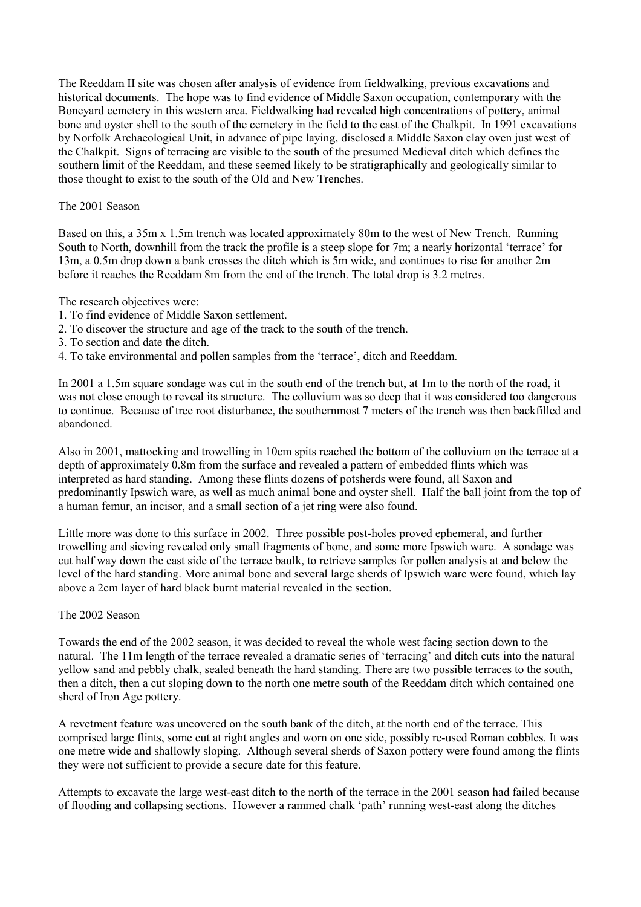The Reeddam II site was chosen after analysis of evidence from fieldwalking, previous excavations and historical documents. The hope was to find evidence of Middle Saxon occupation, contemporary with the Boneyard cemetery in this western area. Fieldwalking had revealed high concentrations of pottery, animal bone and oyster shell to the south of the cemetery in the field to the east of the Chalkpit. In 1991 excavations by Norfolk Archaeological Unit, in advance of pipe laying, disclosed a Middle Saxon clay oven just west of the Chalkpit. Signs of terracing are visible to the south of the presumed Medieval ditch which defines the southern limit of the Reeddam, and these seemed likely to be stratigraphically and geologically similar to those thought to exist to the south of the Old and New Trenches.

# The 2001 Season

Based on this, a 35m x 1.5m trench was located approximately 80m to the west of New Trench. Running South to North, downhill from the track the profile is a steep slope for 7m; a nearly horizontal 'terrace' for 13m, a 0.5m drop down a bank crosses the ditch which is 5m wide, and continues to rise for another 2m before it reaches the Reeddam 8m from the end of the trench. The total drop is 3.2 metres.

The research objectives were:

- 1. To find evidence of Middle Saxon settlement.
- 2. To discover the structure and age of the track to the south of the trench.
- 3. To section and date the ditch.
- 4. To take environmental and pollen samples from the 'terrace', ditch and Reeddam.

In 2001 a 1.5m square sondage was cut in the south end of the trench but, at 1m to the north of the road, it was not close enough to reveal its structure. The colluvium was so deep that it was considered too dangerous to continue. Because of tree root disturbance, the southernmost 7 meters of the trench was then backfilled and abandoned.

Also in 2001, mattocking and trowelling in 10cm spits reached the bottom of the colluvium on the terrace at a depth of approximately 0.8m from the surface and revealed a pattern of embedded flints which was interpreted as hard standing. Among these flints dozens of potsherds were found, all Saxon and predominantly Ipswich ware, as well as much animal bone and oyster shell. Half the ball joint from the top of a human femur, an incisor, and a small section of a jet ring were also found.

Little more was done to this surface in 2002. Three possible post-holes proved ephemeral, and further trowelling and sieving revealed only small fragments of bone, and some more Ipswich ware. A sondage was cut half way down the east side of the terrace baulk, to retrieve samples for pollen analysis at and below the level of the hard standing. More animal bone and several large sherds of Ipswich ware were found, which lay above a 2cm layer of hard black burnt material revealed in the section.

# The 2002 Season

Towards the end of the 2002 season, it was decided to reveal the whole west facing section down to the natural. The 11m length of the terrace revealed a dramatic series of 'terracing' and ditch cuts into the natural yellow sand and pebbly chalk, sealed beneath the hard standing. There are two possible terraces to the south, then a ditch, then a cut sloping down to the north one metre south of the Reeddam ditch which contained one sherd of Iron Age pottery.

A revetment feature was uncovered on the south bank of the ditch, at the north end of the terrace. This comprised large flints, some cut at right angles and worn on one side, possibly re-used Roman cobbles. It was one metre wide and shallowly sloping. Although several sherds of Saxon pottery were found among the flints they were not sufficient to provide a secure date for this feature.

Attempts to excavate the large west-east ditch to the north of the terrace in the 2001 season had failed because of flooding and collapsing sections. However a rammed chalk 'path' running west-east along the ditches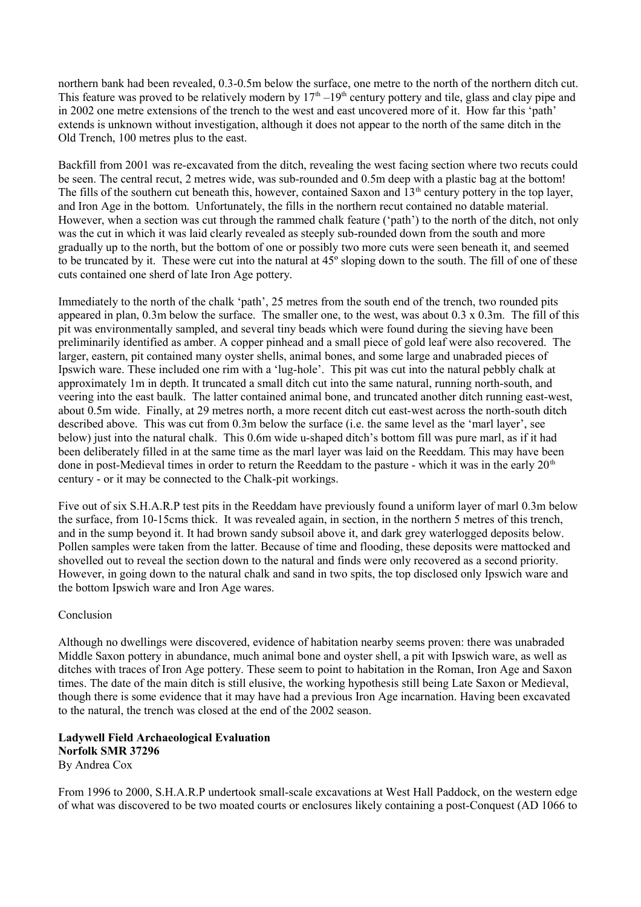northern bank had been revealed, 0.3-0.5m below the surface, one metre to the north of the northern ditch cut. This feature was proved to be relatively modern by  $17<sup>th</sup> - 19<sup>th</sup>$  century pottery and tile, glass and clay pipe and in 2002 one metre extensions of the trench to the west and east uncovered more of it. How far this 'path' extends is unknown without investigation, although it does not appear to the north of the same ditch in the Old Trench, 100 metres plus to the east.

Backfill from 2001 was re-excavated from the ditch, revealing the west facing section where two recuts could be seen. The central recut, 2 metres wide, was sub-rounded and 0.5m deep with a plastic bag at the bottom! The fills of the southern cut beneath this, however, contained Saxon and  $13<sup>th</sup>$  century pottery in the top layer, and Iron Age in the bottom. Unfortunately, the fills in the northern recut contained no datable material. However, when a section was cut through the rammed chalk feature ('path') to the north of the ditch, not only was the cut in which it was laid clearly revealed as steeply sub-rounded down from the south and more gradually up to the north, but the bottom of one or possibly two more cuts were seen beneath it, and seemed to be truncated by it. These were cut into the natural at 45º sloping down to the south. The fill of one of these cuts contained one sherd of late Iron Age pottery.

Immediately to the north of the chalk 'path', 25 metres from the south end of the trench, two rounded pits appeared in plan, 0.3m below the surface. The smaller one, to the west, was about 0.3 x 0.3m. The fill of this pit was environmentally sampled, and several tiny beads which were found during the sieving have been preliminarily identified as amber. A copper pinhead and a small piece of gold leaf were also recovered. The larger, eastern, pit contained many oyster shells, animal bones, and some large and unabraded pieces of Ipswich ware. These included one rim with a 'lug-hole'. This pit was cut into the natural pebbly chalk at approximately 1m in depth. It truncated a small ditch cut into the same natural, running north-south, and veering into the east baulk. The latter contained animal bone, and truncated another ditch running east-west, about 0.5m wide. Finally, at 29 metres north, a more recent ditch cut east-west across the north-south ditch described above. This was cut from 0.3m below the surface (i.e. the same level as the 'marl layer', see below) just into the natural chalk. This 0.6m wide u-shaped ditch's bottom fill was pure marl, as if it had been deliberately filled in at the same time as the marl layer was laid on the Reeddam. This may have been done in post-Medieval times in order to return the Reeddam to the pasture - which it was in the early  $20<sup>th</sup>$ century - or it may be connected to the Chalk-pit workings.

Five out of six S.H.A.R.P test pits in the Reeddam have previously found a uniform layer of marl 0.3m below the surface, from 10-15cms thick. It was revealed again, in section, in the northern 5 metres of this trench, and in the sump beyond it. It had brown sandy subsoil above it, and dark grey waterlogged deposits below. Pollen samples were taken from the latter. Because of time and flooding, these deposits were mattocked and shovelled out to reveal the section down to the natural and finds were only recovered as a second priority. However, in going down to the natural chalk and sand in two spits, the top disclosed only Ipswich ware and the bottom Ipswich ware and Iron Age wares.

# Conclusion

Although no dwellings were discovered, evidence of habitation nearby seems proven: there was unabraded Middle Saxon pottery in abundance, much animal bone and oyster shell, a pit with Ipswich ware, as well as ditches with traces of Iron Age pottery. These seem to point to habitation in the Roman, Iron Age and Saxon times. The date of the main ditch is still elusive, the working hypothesis still being Late Saxon or Medieval, though there is some evidence that it may have had a previous Iron Age incarnation. Having been excavated to the natural, the trench was closed at the end of the 2002 season.

# **Ladywell Field Archaeological Evaluation Norfolk SMR 37296**  By Andrea Cox

From 1996 to 2000, S.H.A.R.P undertook small-scale excavations at West Hall Paddock, on the western edge of what was discovered to be two moated courts or enclosures likely containing a post-Conquest (AD 1066 to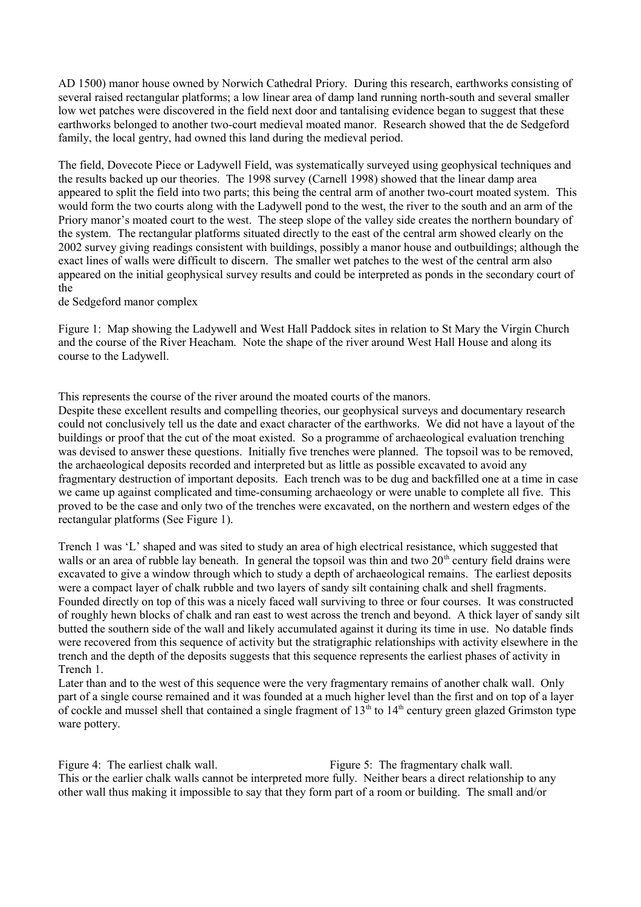AD 1500) manor house owned by Norwich Cathedral Priory. During this research, earthworks consisting of several raised rectangular platforms; a low linear area of damp land running north-south and several smaller low wet patches were discovered in the field next door and tantalising evidence began to suggest that these earthworks belonged to another two-court medieval moated manor. Research showed that the de Sedgeford family, the local gentry, had owned this land during the medieval period.

The field, Dovecote Piece or Ladywell Field, was systematically surveyed using geophysical techniques and the results backed up our theories. The 1998 survey (Carnell 1998) showed that the linear damp area appeared to split the field into two parts; this being the central arm of another two-court moated system. This would form the two courts along with the Ladywell pond to the west, the river to the south and an arm of the Priory manor's moated court to the west. The steep slope of the valley side creates the northern boundary of the system. The rectangular platforms situated directly to the east of the central arm showed clearly on the 2002 survey giving readings consistent with buildings, possibly a manor house and outbuildings; although the exact lines of walls were difficult to discern. The smaller wet patches to the west of the central arm also appeared on the initial geophysical survey results and could be interpreted as ponds in the secondary court of the

de Sedgeford manor complex

Figure 1: Map showing the Ladywell and West Hall Paddock sites in relation to St Mary the Virgin Church and the course of the River Heacham. Note the shape of the river around West Hall House and along its course to the Ladywell.

This represents the course of the river around the moated courts of the manors.

Despite these excellent results and compelling theories, our geophysical surveys and documentary research could not conclusively tell us the date and exact character of the earthworks. We did not have a layout of the buildings or proof that the cut of the moat existed. So a programme of archaeological evaluation trenching was devised to answer these questions. Initially five trenches were planned. The topsoil was to be removed, the archaeological deposits recorded and interpreted but as little as possible excavated to avoid any fragmentary destruction of important deposits. Each trench was to be dug and backfilled one at a time in case we came up against complicated and time-consuming archaeology or were unable to complete all five. This proved to be the case and only two of the trenches were excavated, on the northern and western edges of the rectangular platforms (See Figure 1).

Trench 1 was 'L' shaped and was sited to study an area of high electrical resistance, which suggested that walls or an area of rubble lay beneath. In general the topsoil was thin and two 20<sup>th</sup> century field drains were excavated to give a window through which to study a depth of archaeological remains. The earliest deposits were a compact layer of chalk rubble and two layers of sandy silt containing chalk and shell fragments. Founded directly on top of this was a nicely faced wall surviving to three or four courses. It was constructed of roughly hewn blocks of chalk and ran east to west across the trench and beyond. A thick layer of sandy silt butted the southern side of the wall and likely accumulated against it during its time in use. No datable finds were recovered from this sequence of activity but the stratigraphic relationships with activity elsewhere in the trench and the depth of the deposits suggests that this sequence represents the earliest phases of activity in Trench 1.

Later than and to the west of this sequence were the very fragmentary remains of another chalk wall. Only part of a single course remained and it was founded at a much higher level than the first and on top of a layer of cockle and mussel shell that contained a single fragment of  $13<sup>th</sup>$  to  $14<sup>th</sup>$  century green glazed Grimston type ware pottery.

Figure 4: The earliest chalk wall. Figure 5: The fragmentary chalk wall. This or the earlier chalk walls cannot be interpreted more fully. Neither bears a direct relationship to any other wall thus making it impossible to say that they form part of a room or building. The small and/or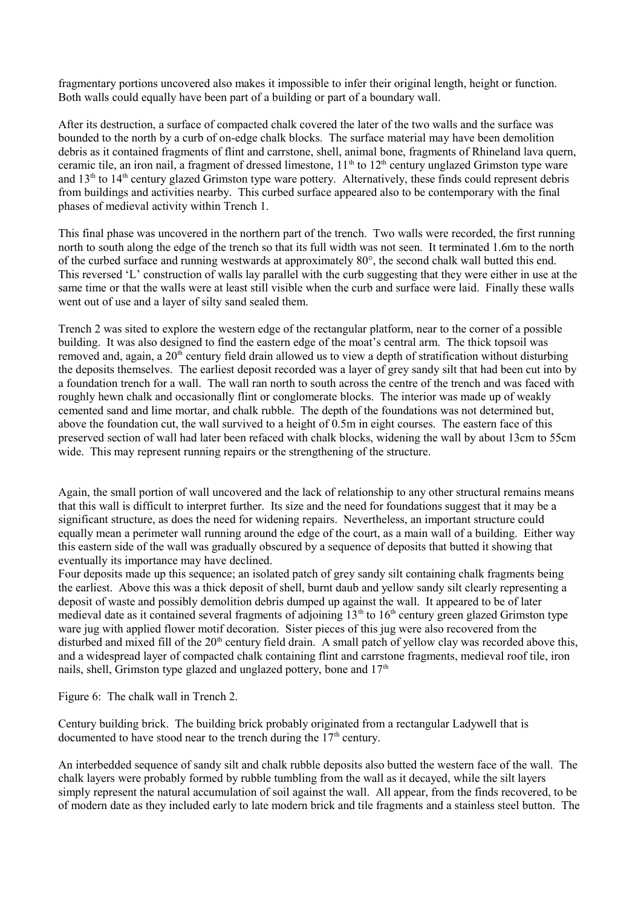fragmentary portions uncovered also makes it impossible to infer their original length, height or function. Both walls could equally have been part of a building or part of a boundary wall.

After its destruction, a surface of compacted chalk covered the later of the two walls and the surface was bounded to the north by a curb of on-edge chalk blocks. The surface material may have been demolition debris as it contained fragments of flint and carrstone, shell, animal bone, fragments of Rhineland lava quern, ceramic tile, an iron nail, a fragment of dressed limestone,  $11<sup>th</sup>$  to  $12<sup>th</sup>$  century unglazed Grimston type ware and  $13<sup>th</sup>$  to  $14<sup>th</sup>$  century glazed Grimston type ware pottery. Alternatively, these finds could represent debris from buildings and activities nearby. This curbed surface appeared also to be contemporary with the final phases of medieval activity within Trench 1.

This final phase was uncovered in the northern part of the trench. Two walls were recorded, the first running north to south along the edge of the trench so that its full width was not seen. It terminated 1.6m to the north of the curbed surface and running westwards at approximately 80°, the second chalk wall butted this end. This reversed 'L' construction of walls lay parallel with the curb suggesting that they were either in use at the same time or that the walls were at least still visible when the curb and surface were laid. Finally these walls went out of use and a layer of silty sand sealed them.

Trench 2 was sited to explore the western edge of the rectangular platform, near to the corner of a possible building. It was also designed to find the eastern edge of the moat's central arm. The thick topsoil was removed and, again, a 20<sup>th</sup> century field drain allowed us to view a depth of stratification without disturbing the deposits themselves. The earliest deposit recorded was a layer of grey sandy silt that had been cut into by a foundation trench for a wall. The wall ran north to south across the centre of the trench and was faced with roughly hewn chalk and occasionally flint or conglomerate blocks. The interior was made up of weakly cemented sand and lime mortar, and chalk rubble. The depth of the foundations was not determined but, above the foundation cut, the wall survived to a height of 0.5m in eight courses. The eastern face of this preserved section of wall had later been refaced with chalk blocks, widening the wall by about 13cm to 55cm wide. This may represent running repairs or the strengthening of the structure.

Again, the small portion of wall uncovered and the lack of relationship to any other structural remains means that this wall is difficult to interpret further. Its size and the need for foundations suggest that it may be a significant structure, as does the need for widening repairs. Nevertheless, an important structure could equally mean a perimeter wall running around the edge of the court, as a main wall of a building. Either way this eastern side of the wall was gradually obscured by a sequence of deposits that butted it showing that eventually its importance may have declined.

Four deposits made up this sequence; an isolated patch of grey sandy silt containing chalk fragments being the earliest. Above this was a thick deposit of shell, burnt daub and yellow sandy silt clearly representing a deposit of waste and possibly demolition debris dumped up against the wall. It appeared to be of later medieval date as it contained several fragments of adjoining  $13<sup>th</sup>$  to  $16<sup>th</sup>$  century green glazed Grimston type ware jug with applied flower motif decoration. Sister pieces of this jug were also recovered from the disturbed and mixed fill of the 20<sup>th</sup> century field drain. A small patch of yellow clay was recorded above this, and a widespread layer of compacted chalk containing flint and carrstone fragments, medieval roof tile, iron nails, shell, Grimston type glazed and unglazed pottery, bone and  $17<sup>th</sup>$ 

Figure 6: The chalk wall in Trench 2.

Century building brick. The building brick probably originated from a rectangular Ladywell that is documented to have stood near to the trench during the  $17<sup>th</sup>$  century.

An interbedded sequence of sandy silt and chalk rubble deposits also butted the western face of the wall. The chalk layers were probably formed by rubble tumbling from the wall as it decayed, while the silt layers simply represent the natural accumulation of soil against the wall. All appear, from the finds recovered, to be of modern date as they included early to late modern brick and tile fragments and a stainless steel button. The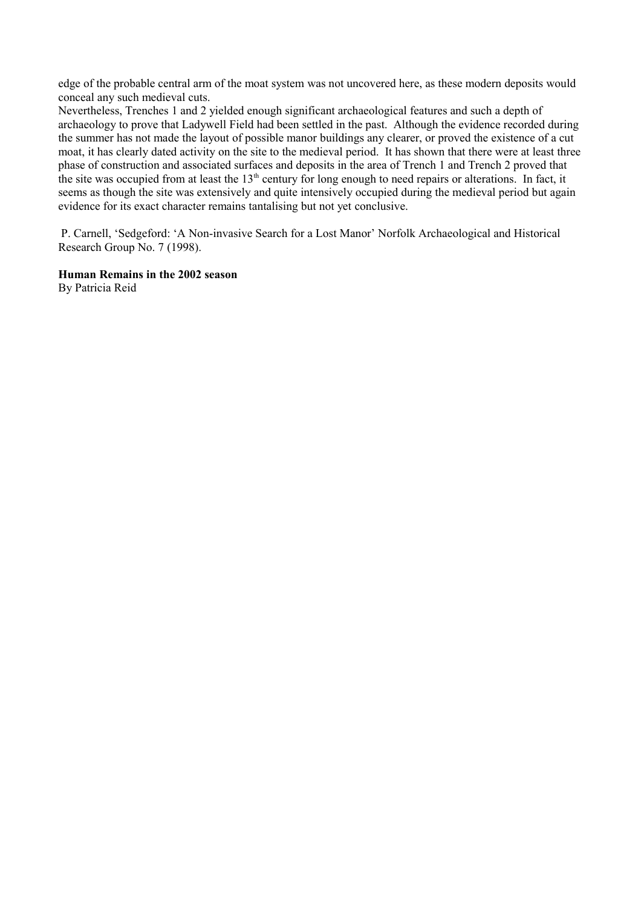edge of the probable central arm of the moat system was not uncovered here, as these modern deposits would conceal any such medieval cuts.

Nevertheless, Trenches 1 and 2 yielded enough significant archaeological features and such a depth of archaeology to prove that Ladywell Field had been settled in the past. Although the evidence recorded during the summer has not made the layout of possible manor buildings any clearer, or proved the existence of a cut moat, it has clearly dated activity on the site to the medieval period. It has shown that there were at least three phase of construction and associated surfaces and deposits in the area of Trench 1 and Trench 2 proved that the site was occupied from at least the  $13<sup>th</sup>$  century for long enough to need repairs or alterations. In fact, it seems as though the site was extensively and quite intensively occupied during the medieval period but again evidence for its exact character remains tantalising but not yet conclusive.

 P. Carnell, 'Sedgeford: 'A Non-invasive Search for a Lost Manor' Norfolk Archaeological and Historical Research Group No. 7 (1998).

# **Human Remains in the 2002 season**

By Patricia Reid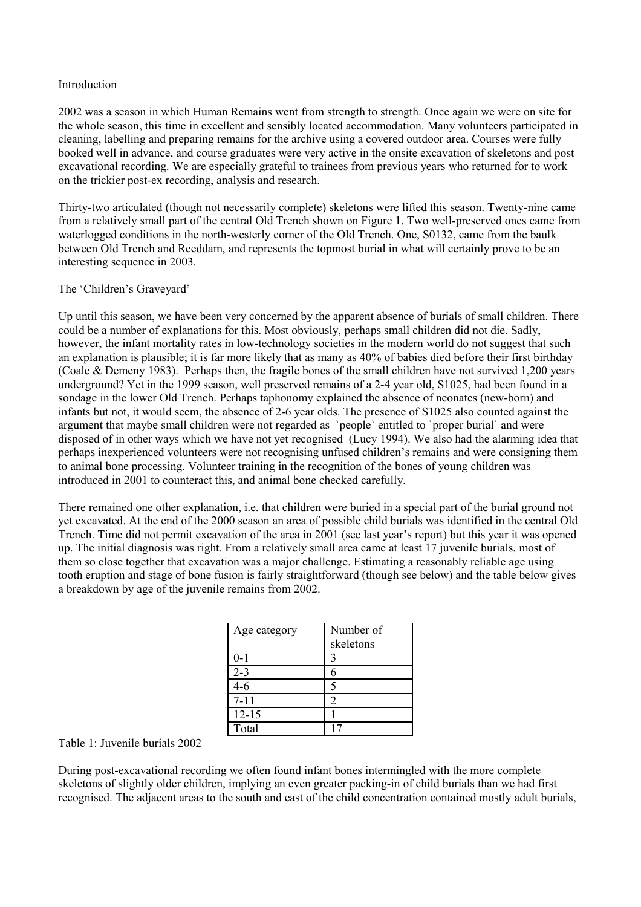#### Introduction

2002 was a season in which Human Remains went from strength to strength. Once again we were on site for the whole season, this time in excellent and sensibly located accommodation. Many volunteers participated in cleaning, labelling and preparing remains for the archive using a covered outdoor area. Courses were fully booked well in advance, and course graduates were very active in the onsite excavation of skeletons and post excavational recording. We are especially grateful to trainees from previous years who returned for to work on the trickier post-ex recording, analysis and research.

Thirty-two articulated (though not necessarily complete) skeletons were lifted this season. Twenty-nine came from a relatively small part of the central Old Trench shown on Figure 1. Two well-preserved ones came from waterlogged conditions in the north-westerly corner of the Old Trench. One, S0132, came from the baulk between Old Trench and Reeddam, and represents the topmost burial in what will certainly prove to be an interesting sequence in 2003.

# The 'Children's Graveyard'

Up until this season, we have been very concerned by the apparent absence of burials of small children. There could be a number of explanations for this. Most obviously, perhaps small children did not die. Sadly, however, the infant mortality rates in low-technology societies in the modern world do not suggest that such an explanation is plausible; it is far more likely that as many as 40% of babies died before their first birthday (Coale & Demeny 1983). Perhaps then, the fragile bones of the small children have not survived 1,200 years underground? Yet in the 1999 season, well preserved remains of a 2-4 year old, S1025, had been found in a sondage in the lower Old Trench. Perhaps taphonomy explained the absence of neonates (new-born) and infants but not, it would seem, the absence of 2-6 year olds. The presence of S1025 also counted against the argument that maybe small children were not regarded as `people` entitled to `proper burial` and were disposed of in other ways which we have not yet recognised (Lucy 1994). We also had the alarming idea that perhaps inexperienced volunteers were not recognising unfused children's remains and were consigning them to animal bone processing. Volunteer training in the recognition of the bones of young children was introduced in 2001 to counteract this, and animal bone checked carefully.

There remained one other explanation, i.e. that children were buried in a special part of the burial ground not yet excavated. At the end of the 2000 season an area of possible child burials was identified in the central Old Trench. Time did not permit excavation of the area in 2001 (see last year's report) but this year it was opened up. The initial diagnosis was right. From a relatively small area came at least 17 juvenile burials, most of them so close together that excavation was a major challenge. Estimating a reasonably reliable age using tooth eruption and stage of bone fusion is fairly straightforward (though see below) and the table below gives a breakdown by age of the juvenile remains from 2002.

| Age category | Number of |
|--------------|-----------|
|              | skeletons |
| $0 - 1$      |           |
| $2 - 3$      | 6         |
| $4 - 6$      |           |
| $7 - 11$     |           |
| $12 - 15$    |           |
| Total        |           |

# Table 1: Juvenile burials 2002

During post-excavational recording we often found infant bones intermingled with the more complete skeletons of slightly older children, implying an even greater packing-in of child burials than we had first recognised. The adjacent areas to the south and east of the child concentration contained mostly adult burials,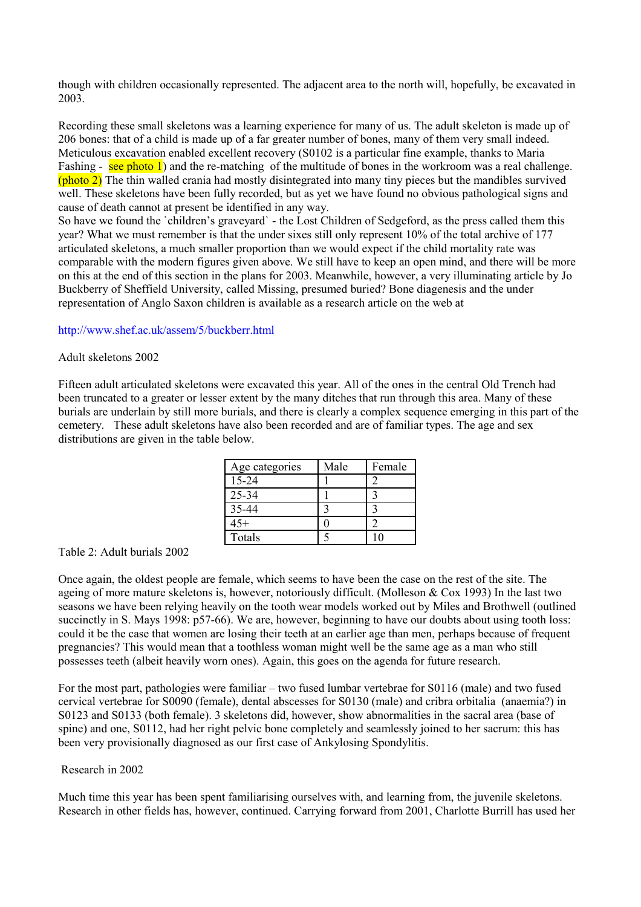though with children occasionally represented. The adjacent area to the north will, hopefully, be excavated in 2003.

Recording these small skeletons was a learning experience for many of us. The adult skeleton is made up of 206 bones: that of a child is made up of a far greater number of bones, many of them very small indeed. Meticulous excavation enabled excellent recovery (S0102 is a particular fine example, thanks to Maria Fashing - see photo 1) and the re-matching of the multitude of bones in the workroom was a real challenge. (photo 2) The thin walled crania had mostly disintegrated into many tiny pieces but the mandibles survived well. These skeletons have been fully recorded, but as yet we have found no obvious pathological signs and cause of death cannot at present be identified in any way.

So have we found the `children's graveyard` - the Lost Children of Sedgeford, as the press called them this year? What we must remember is that the under sixes still only represent 10% of the total archive of 177 articulated skeletons, a much smaller proportion than we would expect if the child mortality rate was comparable with the modern figures given above. We still have to keep an open mind, and there will be more on this at the end of this section in the plans for 2003. Meanwhile, however, a very illuminating article by Jo Buckberry of Sheffield University, called Missing, presumed buried? Bone diagenesis and the under representation of Anglo Saxon children is available as a research article on the web at

#### <http://www.shef.ac.uk/assem/5/buckberr.html>

#### Adult skeletons 2002

Fifteen adult articulated skeletons were excavated this year. All of the ones in the central Old Trench had been truncated to a greater or lesser extent by the many ditches that run through this area. Many of these burials are underlain by still more burials, and there is clearly a complex sequence emerging in this part of the cemetery. These adult skeletons have also been recorded and are of familiar types. The age and sex distributions are given in the table below.

| Age categories | Male | Female |
|----------------|------|--------|
| $15 - 24$      |      |        |
| $25 - 34$      |      |        |
| 35-44          |      |        |
| $45+$          |      |        |
| Totals         |      |        |

# Table 2: Adult burials 2002

Once again, the oldest people are female, which seems to have been the case on the rest of the site. The ageing of more mature skeletons is, however, notoriously difficult. (Molleson & Cox 1993) In the last two seasons we have been relying heavily on the tooth wear models worked out by Miles and Brothwell (outlined succinctly in S. Mays 1998: p57-66). We are, however, beginning to have our doubts about using tooth loss: could it be the case that women are losing their teeth at an earlier age than men, perhaps because of frequent pregnancies? This would mean that a toothless woman might well be the same age as a man who still possesses teeth (albeit heavily worn ones). Again, this goes on the agenda for future research.

For the most part, pathologies were familiar – two fused lumbar vertebrae for S0116 (male) and two fused cervical vertebrae for S0090 (female), dental abscesses for S0130 (male) and cribra orbitalia (anaemia?) in S0123 and S0133 (both female). 3 skeletons did, however, show abnormalities in the sacral area (base of spine) and one, S0112, had her right pelvic bone completely and seamlessly joined to her sacrum: this has been very provisionally diagnosed as our first case of Ankylosing Spondylitis.

#### Research in 2002

Much time this year has been spent familiarising ourselves with, and learning from, the juvenile skeletons. Research in other fields has, however, continued. Carrying forward from 2001, Charlotte Burrill has used her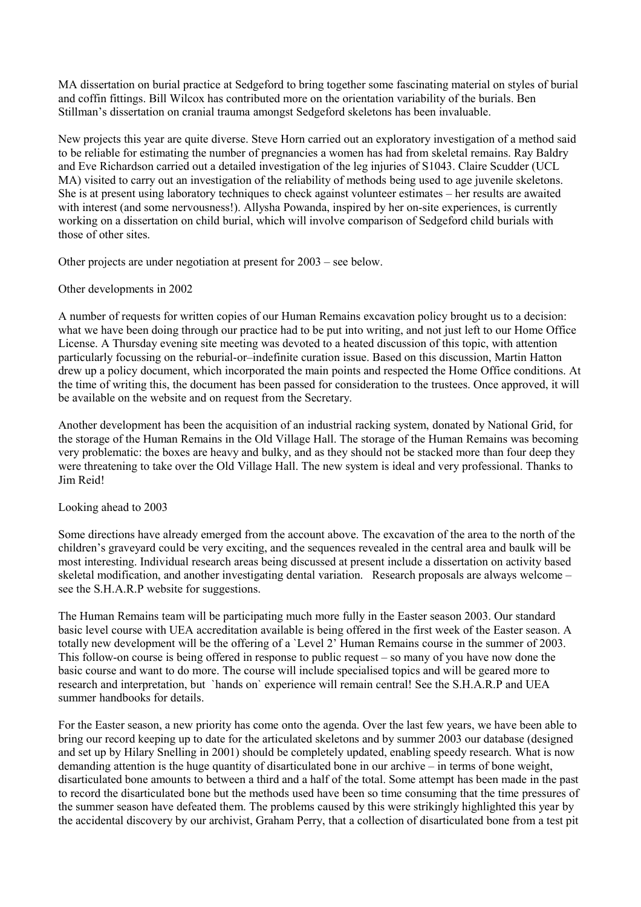MA dissertation on burial practice at Sedgeford to bring together some fascinating material on styles of burial and coffin fittings. Bill Wilcox has contributed more on the orientation variability of the burials. Ben Stillman's dissertation on cranial trauma amongst Sedgeford skeletons has been invaluable.

New projects this year are quite diverse. Steve Horn carried out an exploratory investigation of a method said to be reliable for estimating the number of pregnancies a women has had from skeletal remains. Ray Baldry and Eve Richardson carried out a detailed investigation of the leg injuries of S1043. Claire Scudder (UCL MA) visited to carry out an investigation of the reliability of methods being used to age juvenile skeletons. She is at present using laboratory techniques to check against volunteer estimates – her results are awaited with interest (and some nervousness!). Allysha Powanda, inspired by her on-site experiences, is currently working on a dissertation on child burial, which will involve comparison of Sedgeford child burials with those of other sites.

Other projects are under negotiation at present for 2003 – see below.

Other developments in 2002

A number of requests for written copies of our Human Remains excavation policy brought us to a decision: what we have been doing through our practice had to be put into writing, and not just left to our Home Office License. A Thursday evening site meeting was devoted to a heated discussion of this topic, with attention particularly focussing on the reburial-or–indefinite curation issue. Based on this discussion, Martin Hatton drew up a policy document, which incorporated the main points and respected the Home Office conditions. At the time of writing this, the document has been passed for consideration to the trustees. Once approved, it will be available on the website and on request from the Secretary.

Another development has been the acquisition of an industrial racking system, donated by National Grid, for the storage of the Human Remains in the Old Village Hall. The storage of the Human Remains was becoming very problematic: the boxes are heavy and bulky, and as they should not be stacked more than four deep they were threatening to take over the Old Village Hall. The new system is ideal and very professional. Thanks to Jim Reid!

Looking ahead to 2003

Some directions have already emerged from the account above. The excavation of the area to the north of the children's graveyard could be very exciting, and the sequences revealed in the central area and baulk will be most interesting. Individual research areas being discussed at present include a dissertation on activity based skeletal modification, and another investigating dental variation. Research proposals are always welcome – see the S.H.A.R.P website for suggestions.

The Human Remains team will be participating much more fully in the Easter season 2003. Our standard basic level course with UEA accreditation available is being offered in the first week of the Easter season. A totally new development will be the offering of a `Level 2' Human Remains course in the summer of 2003. This follow-on course is being offered in response to public request – so many of you have now done the basic course and want to do more. The course will include specialised topics and will be geared more to research and interpretation, but `hands on` experience will remain central! See the S.H.A.R.P and UEA summer handbooks for details.

For the Easter season, a new priority has come onto the agenda. Over the last few years, we have been able to bring our record keeping up to date for the articulated skeletons and by summer 2003 our database (designed and set up by Hilary Snelling in 2001) should be completely updated, enabling speedy research. What is now demanding attention is the huge quantity of disarticulated bone in our archive – in terms of bone weight, disarticulated bone amounts to between a third and a half of the total. Some attempt has been made in the past to record the disarticulated bone but the methods used have been so time consuming that the time pressures of the summer season have defeated them. The problems caused by this were strikingly highlighted this year by the accidental discovery by our archivist, Graham Perry, that a collection of disarticulated bone from a test pit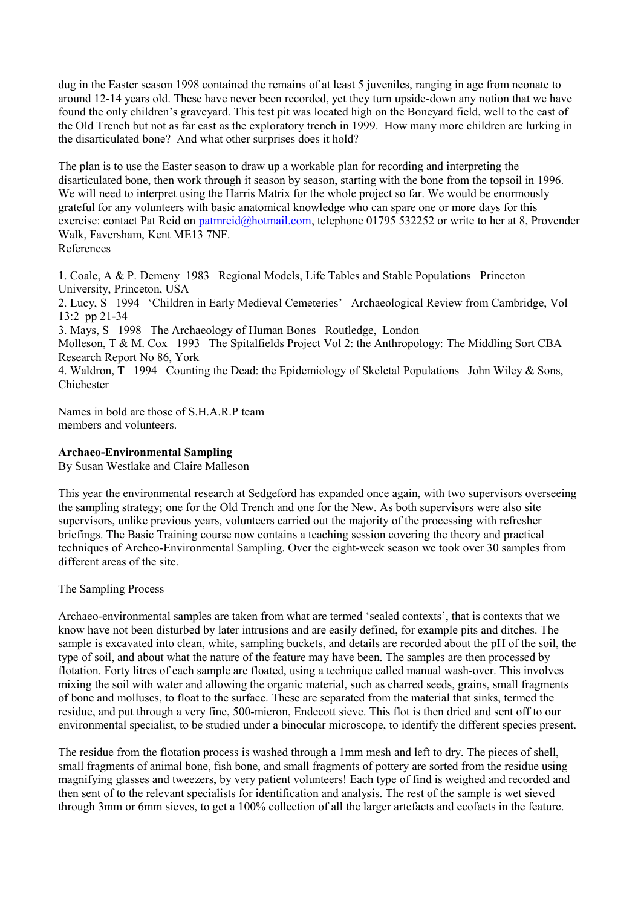dug in the Easter season 1998 contained the remains of at least 5 juveniles, ranging in age from neonate to around 12-14 years old. These have never been recorded, yet they turn upside-down any notion that we have found the only children's graveyard. This test pit was located high on the Boneyard field, well to the east of the Old Trench but not as far east as the exploratory trench in 1999. How many more children are lurking in the disarticulated bone? And what other surprises does it hold?

The plan is to use the Easter season to draw up a workable plan for recording and interpreting the disarticulated bone, then work through it season by season, starting with the bone from the topsoil in 1996. We will need to interpret using the Harris Matrix for the whole project so far. We would be enormously grateful for any volunteers with basic anatomical knowledge who can spare one or more days for this exercise: contact Pat Reid on [patmreid@hotmail.com,](mailto:patmreid@hotmail,com) telephone 01795 532252 or write to her at 8, Provender Walk, Faversham, Kent ME13 7NF. References

1. Coale, A & P. Demeny 1983 Regional Models, Life Tables and Stable Populations Princeton University, Princeton, USA 2. Lucy, S 1994 'Children in Early Medieval Cemeteries' Archaeological Review from Cambridge, Vol 13:2 pp 21-34 3. Mays, S 1998 The Archaeology of Human Bones Routledge, London Molleson, T & M. Cox 1993 The Spitalfields Project Vol 2: the Anthropology: The Middling Sort CBA Research Report No 86, York 4. Waldron, T 1994 Counting the Dead: the Epidemiology of Skeletal Populations John Wiley & Sons, Chichester

Names in bold are those of S.H.A.R.P team members and volunteers.

# **Archaeo-Environmental Sampling**

By Susan Westlake and Claire Malleson

This year the environmental research at Sedgeford has expanded once again, with two supervisors overseeing the sampling strategy; one for the Old Trench and one for the New. As both supervisors were also site supervisors, unlike previous years, volunteers carried out the majority of the processing with refresher briefings. The Basic Training course now contains a teaching session covering the theory and practical techniques of Archeo-Environmental Sampling. Over the eight-week season we took over 30 samples from different areas of the site.

The Sampling Process

Archaeo-environmental samples are taken from what are termed 'sealed contexts', that is contexts that we know have not been disturbed by later intrusions and are easily defined, for example pits and ditches. The sample is excavated into clean, white, sampling buckets, and details are recorded about the pH of the soil, the type of soil, and about what the nature of the feature may have been. The samples are then processed by flotation. Forty litres of each sample are floated, using a technique called manual wash-over. This involves mixing the soil with water and allowing the organic material, such as charred seeds, grains, small fragments of bone and molluscs, to float to the surface. These are separated from the material that sinks, termed the residue, and put through a very fine, 500-micron, Endecott sieve. This flot is then dried and sent off to our environmental specialist, to be studied under a binocular microscope, to identify the different species present.

The residue from the flotation process is washed through a 1mm mesh and left to dry. The pieces of shell, small fragments of animal bone, fish bone, and small fragments of pottery are sorted from the residue using magnifying glasses and tweezers, by very patient volunteers! Each type of find is weighed and recorded and then sent of to the relevant specialists for identification and analysis. The rest of the sample is wet sieved through 3mm or 6mm sieves, to get a 100% collection of all the larger artefacts and ecofacts in the feature.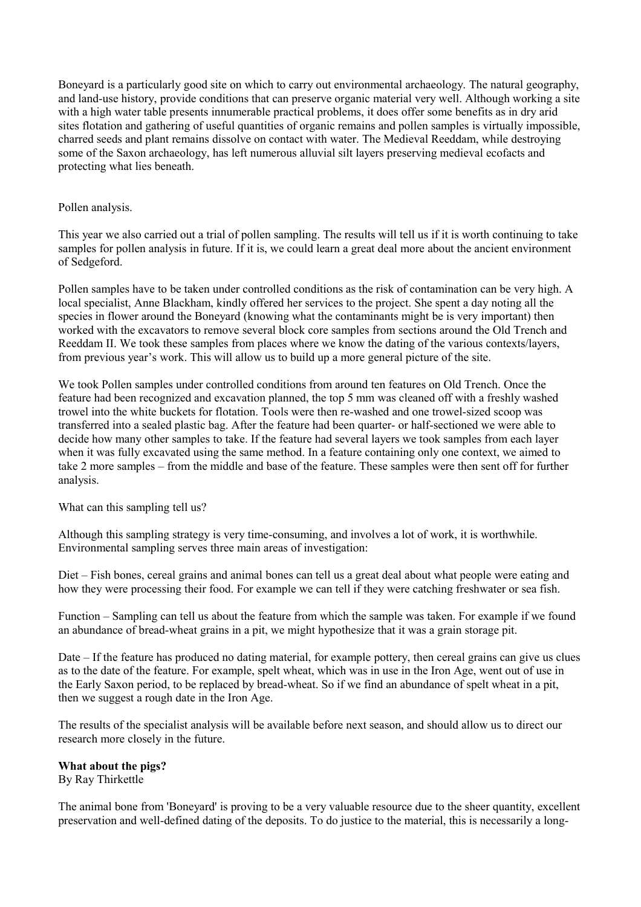Boneyard is a particularly good site on which to carry out environmental archaeology. The natural geography, and land-use history, provide conditions that can preserve organic material very well. Although working a site with a high water table presents innumerable practical problems, it does offer some benefits as in dry arid sites flotation and gathering of useful quantities of organic remains and pollen samples is virtually impossible, charred seeds and plant remains dissolve on contact with water. The Medieval Reeddam, while destroying some of the Saxon archaeology, has left numerous alluvial silt layers preserving medieval ecofacts and protecting what lies beneath.

# Pollen analysis.

This year we also carried out a trial of pollen sampling. The results will tell us if it is worth continuing to take samples for pollen analysis in future. If it is, we could learn a great deal more about the ancient environment of Sedgeford.

Pollen samples have to be taken under controlled conditions as the risk of contamination can be very high. A local specialist, Anne Blackham, kindly offered her services to the project. She spent a day noting all the species in flower around the Boneyard (knowing what the contaminants might be is very important) then worked with the excavators to remove several block core samples from sections around the Old Trench and Reeddam II. We took these samples from places where we know the dating of the various contexts/layers, from previous year's work. This will allow us to build up a more general picture of the site.

We took Pollen samples under controlled conditions from around ten features on Old Trench. Once the feature had been recognized and excavation planned, the top 5 mm was cleaned off with a freshly washed trowel into the white buckets for flotation. Tools were then re-washed and one trowel-sized scoop was transferred into a sealed plastic bag. After the feature had been quarter- or half-sectioned we were able to decide how many other samples to take. If the feature had several layers we took samples from each layer when it was fully excavated using the same method. In a feature containing only one context, we aimed to take 2 more samples – from the middle and base of the feature. These samples were then sent off for further analysis.

What can this sampling tell us?

Although this sampling strategy is very time-consuming, and involves a lot of work, it is worthwhile. Environmental sampling serves three main areas of investigation:

Diet – Fish bones, cereal grains and animal bones can tell us a great deal about what people were eating and how they were processing their food. For example we can tell if they were catching freshwater or sea fish.

Function – Sampling can tell us about the feature from which the sample was taken. For example if we found an abundance of bread-wheat grains in a pit, we might hypothesize that it was a grain storage pit.

Date – If the feature has produced no dating material, for example pottery, then cereal grains can give us clues as to the date of the feature. For example, spelt wheat, which was in use in the Iron Age, went out of use in the Early Saxon period, to be replaced by bread-wheat. So if we find an abundance of spelt wheat in a pit, then we suggest a rough date in the Iron Age.

The results of the specialist analysis will be available before next season, and should allow us to direct our research more closely in the future.

# **What about the pigs?**

By Ray Thirkettle

The animal bone from 'Boneyard' is proving to be a very valuable resource due to the sheer quantity, excellent preservation and well-defined dating of the deposits. To do justice to the material, this is necessarily a long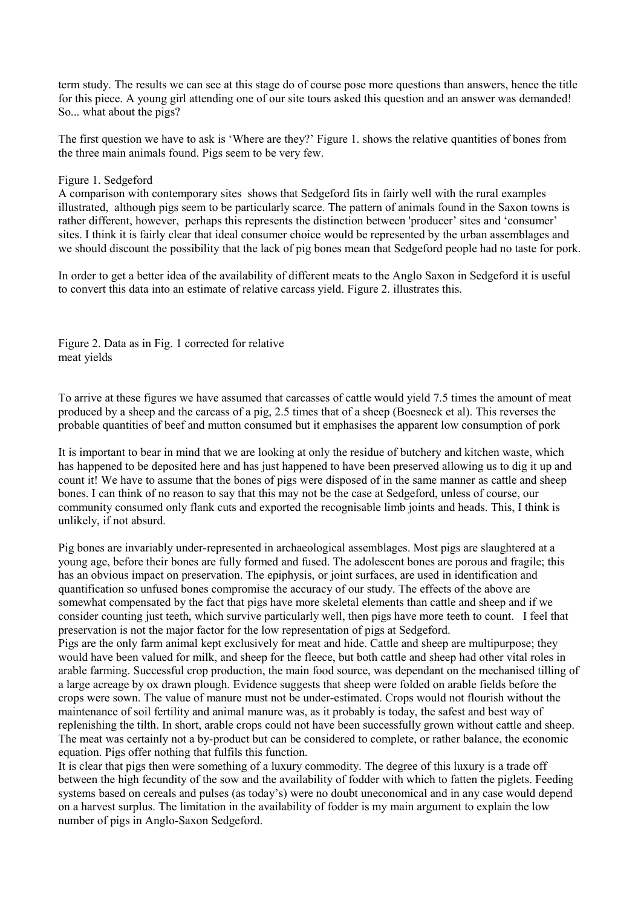term study. The results we can see at this stage do of course pose more questions than answers, hence the title for this piece. A young girl attending one of our site tours asked this question and an answer was demanded! So... what about the pigs?

The first question we have to ask is 'Where are they?' Figure 1. shows the relative quantities of bones from the three main animals found. Pigs seem to be very few.

#### Figure 1. Sedgeford

A comparison with contemporary sites shows that Sedgeford fits in fairly well with the rural examples illustrated, although pigs seem to be particularly scarce. The pattern of animals found in the Saxon towns is rather different, however, perhaps this represents the distinction between 'producer' sites and 'consumer' sites. I think it is fairly clear that ideal consumer choice would be represented by the urban assemblages and we should discount the possibility that the lack of pig bones mean that Sedgeford people had no taste for pork.

In order to get a better idea of the availability of different meats to the Anglo Saxon in Sedgeford it is useful to convert this data into an estimate of relative carcass yield. Figure 2. illustrates this.

Figure 2. Data as in Fig. 1 corrected for relative meat yields

To arrive at these figures we have assumed that carcasses of cattle would yield 7.5 times the amount of meat produced by a sheep and the carcass of a pig, 2.5 times that of a sheep (Boesneck et al). This reverses the probable quantities of beef and mutton consumed but it emphasises the apparent low consumption of pork

It is important to bear in mind that we are looking at only the residue of butchery and kitchen waste, which has happened to be deposited here and has just happened to have been preserved allowing us to dig it up and count it! We have to assume that the bones of pigs were disposed of in the same manner as cattle and sheep bones. I can think of no reason to say that this may not be the case at Sedgeford, unless of course, our community consumed only flank cuts and exported the recognisable limb joints and heads. This, I think is unlikely, if not absurd.

Pig bones are invariably under-represented in archaeological assemblages. Most pigs are slaughtered at a young age, before their bones are fully formed and fused. The adolescent bones are porous and fragile; this has an obvious impact on preservation. The epiphysis, or joint surfaces, are used in identification and quantification so unfused bones compromise the accuracy of our study. The effects of the above are somewhat compensated by the fact that pigs have more skeletal elements than cattle and sheep and if we consider counting just teeth, which survive particularly well, then pigs have more teeth to count. I feel that preservation is not the major factor for the low representation of pigs at Sedgeford.

Pigs are the only farm animal kept exclusively for meat and hide. Cattle and sheep are multipurpose; they would have been valued for milk, and sheep for the fleece, but both cattle and sheep had other vital roles in arable farming. Successful crop production, the main food source, was dependant on the mechanised tilling of a large acreage by ox drawn plough. Evidence suggests that sheep were folded on arable fields before the crops were sown. The value of manure must not be under-estimated. Crops would not flourish without the maintenance of soil fertility and animal manure was, as it probably is today, the safest and best way of replenishing the tilth. In short, arable crops could not have been successfully grown without cattle and sheep. The meat was certainly not a by-product but can be considered to complete, or rather balance, the economic equation. Pigs offer nothing that fulfils this function.

It is clear that pigs then were something of a luxury commodity. The degree of this luxury is a trade off between the high fecundity of the sow and the availability of fodder with which to fatten the piglets. Feeding systems based on cereals and pulses (as today's) were no doubt uneconomical and in any case would depend on a harvest surplus. The limitation in the availability of fodder is my main argument to explain the low number of pigs in Anglo-Saxon Sedgeford.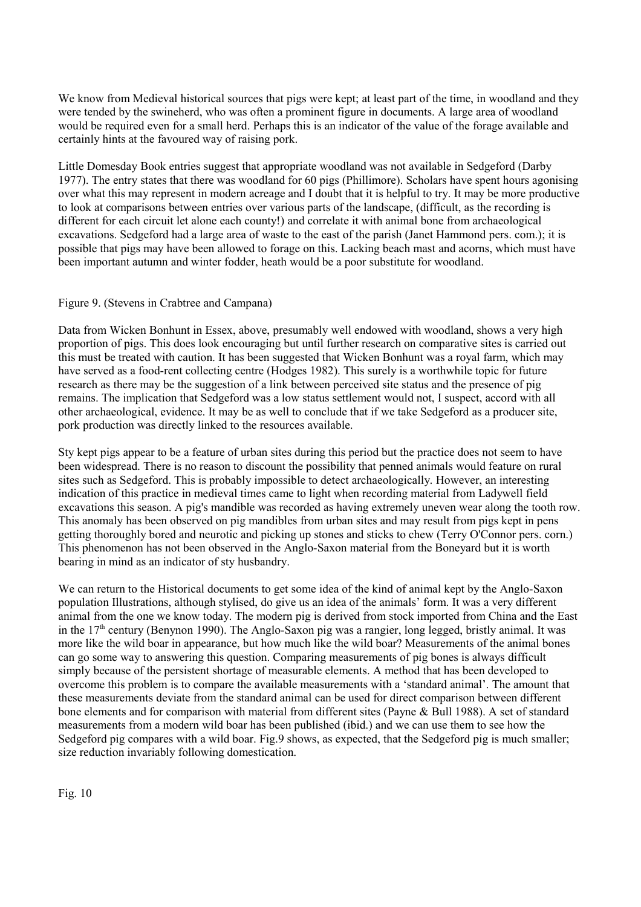We know from Medieval historical sources that pigs were kept; at least part of the time, in woodland and they were tended by the swineherd, who was often a prominent figure in documents. A large area of woodland would be required even for a small herd. Perhaps this is an indicator of the value of the forage available and certainly hints at the favoured way of raising pork.

Little Domesday Book entries suggest that appropriate woodland was not available in Sedgeford (Darby 1977). The entry states that there was woodland for 60 pigs (Phillimore). Scholars have spent hours agonising over what this may represent in modern acreage and I doubt that it is helpful to try. It may be more productive to look at comparisons between entries over various parts of the landscape, (difficult, as the recording is different for each circuit let alone each county!) and correlate it with animal bone from archaeological excavations. Sedgeford had a large area of waste to the east of the parish (Janet Hammond pers. com.); it is possible that pigs may have been allowed to forage on this. Lacking beach mast and acorns, which must have been important autumn and winter fodder, heath would be a poor substitute for woodland.

# Figure 9. (Stevens in Crabtree and Campana)

Data from Wicken Bonhunt in Essex, above, presumably well endowed with woodland, shows a very high proportion of pigs. This does look encouraging but until further research on comparative sites is carried out this must be treated with caution. It has been suggested that Wicken Bonhunt was a royal farm, which may have served as a food-rent collecting centre (Hodges 1982). This surely is a worthwhile topic for future research as there may be the suggestion of a link between perceived site status and the presence of pig remains. The implication that Sedgeford was a low status settlement would not, I suspect, accord with all other archaeological, evidence. It may be as well to conclude that if we take Sedgeford as a producer site, pork production was directly linked to the resources available.

Sty kept pigs appear to be a feature of urban sites during this period but the practice does not seem to have been widespread. There is no reason to discount the possibility that penned animals would feature on rural sites such as Sedgeford. This is probably impossible to detect archaeologically. However, an interesting indication of this practice in medieval times came to light when recording material from Ladywell field excavations this season. A pig's mandible was recorded as having extremely uneven wear along the tooth row. This anomaly has been observed on pig mandibles from urban sites and may result from pigs kept in pens getting thoroughly bored and neurotic and picking up stones and sticks to chew (Terry O'Connor pers. corn.) This phenomenon has not been observed in the Anglo-Saxon material from the Boneyard but it is worth bearing in mind as an indicator of sty husbandry.

We can return to the Historical documents to get some idea of the kind of animal kept by the Anglo-Saxon population Illustrations, although stylised, do give us an idea of the animals' form. It was a very different animal from the one we know today. The modern pig is derived from stock imported from China and the East in the 17<sup>th</sup> century (Benynon 1990). The Anglo-Saxon pig was a rangier, long legged, bristly animal. It was more like the wild boar in appearance, but how much like the wild boar? Measurements of the animal bones can go some way to answering this question. Comparing measurements of pig bones is always difficult simply because of the persistent shortage of measurable elements. A method that has been developed to overcome this problem is to compare the available measurements with a 'standard animal'. The amount that these measurements deviate from the standard animal can be used for direct comparison between different bone elements and for comparison with material from different sites (Payne & Bull 1988). A set of standard measurements from a modern wild boar has been published (ibid.) and we can use them to see how the Sedgeford pig compares with a wild boar. Fig.9 shows, as expected, that the Sedgeford pig is much smaller; size reduction invariably following domestication.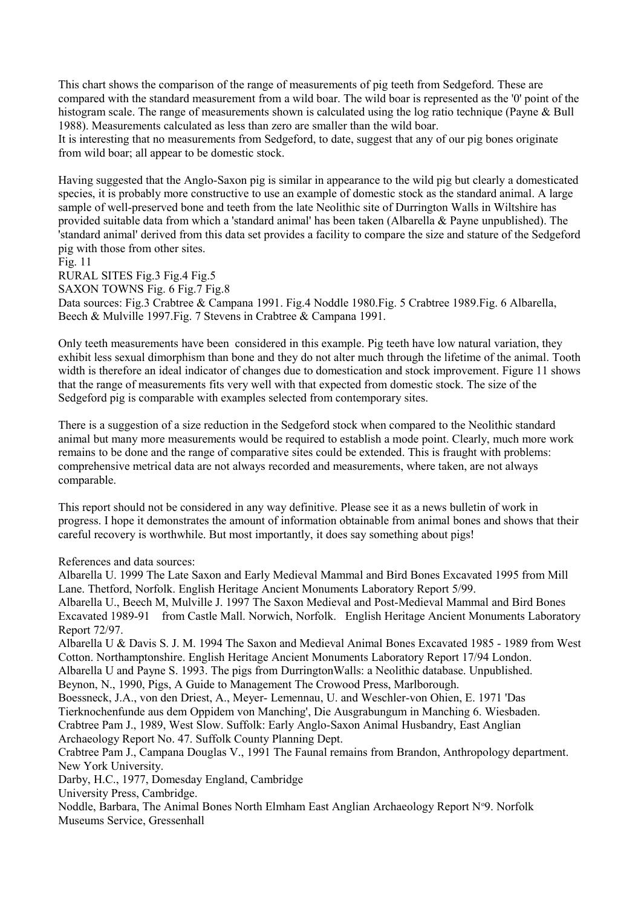This chart shows the comparison of the range of measurements of pig teeth from Sedgeford. These are compared with the standard measurement from a wild boar. The wild boar is represented as the '0' point of the histogram scale. The range of measurements shown is calculated using the log ratio technique (Payne & Bull 1988). Measurements calculated as less than zero are smaller than the wild boar.

It is interesting that no measurements from Sedgeford, to date, suggest that any of our pig bones originate from wild boar; all appear to be domestic stock.

Having suggested that the Anglo-Saxon pig is similar in appearance to the wild pig but clearly a domesticated species, it is probably more constructive to use an example of domestic stock as the standard animal. A large sample of well-preserved bone and teeth from the late Neolithic site of Durrington Walls in Wiltshire has provided suitable data from which a 'standard animal' has been taken (Albarella & Payne unpublished). The 'standard animal' derived from this data set provides a facility to compare the size and stature of the Sedgeford pig with those from other sites.

Fig. 11 RURAL SITES Fig.3 Fig.4 Fig.5 SAXON TOWNS Fig. 6 Fig. 7 Fig. 8 Data sources: Fig.3 Crabtree & Campana 1991. Fig.4 Noddle 1980.Fig. 5 Crabtree 1989.Fig. 6 Albarella, Beech & Mulville 1997.Fig. 7 Stevens in Crabtree & Campana 1991.

Only teeth measurements have been considered in this example. Pig teeth have low natural variation, they exhibit less sexual dimorphism than bone and they do not alter much through the lifetime of the animal. Tooth width is therefore an ideal indicator of changes due to domestication and stock improvement. Figure 11 shows that the range of measurements fits very well with that expected from domestic stock. The size of the Sedgeford pig is comparable with examples selected from contemporary sites.

There is a suggestion of a size reduction in the Sedgeford stock when compared to the Neolithic standard animal but many more measurements would be required to establish a mode point. Clearly, much more work remains to be done and the range of comparative sites could be extended. This is fraught with problems: comprehensive metrical data are not always recorded and measurements, where taken, are not always comparable.

This report should not be considered in any way definitive. Please see it as a news bulletin of work in progress. I hope it demonstrates the amount of information obtainable from animal bones and shows that their careful recovery is worthwhile. But most importantly, it does say something about pigs!

References and data sources:

Albarella U. 1999 The Late Saxon and Early Medieval Mammal and Bird Bones Excavated 1995 from Mill Lane. Thetford, Norfolk. English Heritage Ancient Monuments Laboratory Report 5/99. Albarella U., Beech M, Mulville J. 1997 The Saxon Medieval and Post-Medieval Mammal and Bird Bones Excavated 1989-91 from Castle Mall. Norwich, Norfolk. English Heritage Ancient Monuments Laboratory Report 72/97. Albarella U & Davis S. J. M. 1994 The Saxon and Medieval Animal Bones Excavated 1985 - 1989 from West Cotton. Northamptonshire. English Heritage Ancient Monuments Laboratory Report 17/94 London. Albarella U and Payne S. 1993. The pigs from DurringtonWalls: a Neolithic database. Unpublished. Beynon, N., 1990, Pigs, A Guide to Management The Crowood Press, Marlborough. Boessneck, J.A., von den Driest, A., Meyer- Lemennau, U. and Weschler-von Ohien, E. 1971 'Das Tierknochenfunde aus dem Oppidem von Manching', Die Ausgrabungum in Manching 6. Wiesbaden. Crabtree Pam J., 1989, West Slow. Suffolk: Early Anglo-Saxon Animal Husbandry, East Anglian Archaeology Report No. 47. Suffolk County Planning Dept. Crabtree Pam J., Campana Douglas V., 1991 The Faunal remains from Brandon, Anthropology department. New York University. Darby, H.C., 1977, Domesday England, Cambridge University Press, Cambridge. Noddle, Barbara, The Animal Bones North Elmham East Anglian Archaeology Report N°9. Norfolk Museums Service, Gressenhall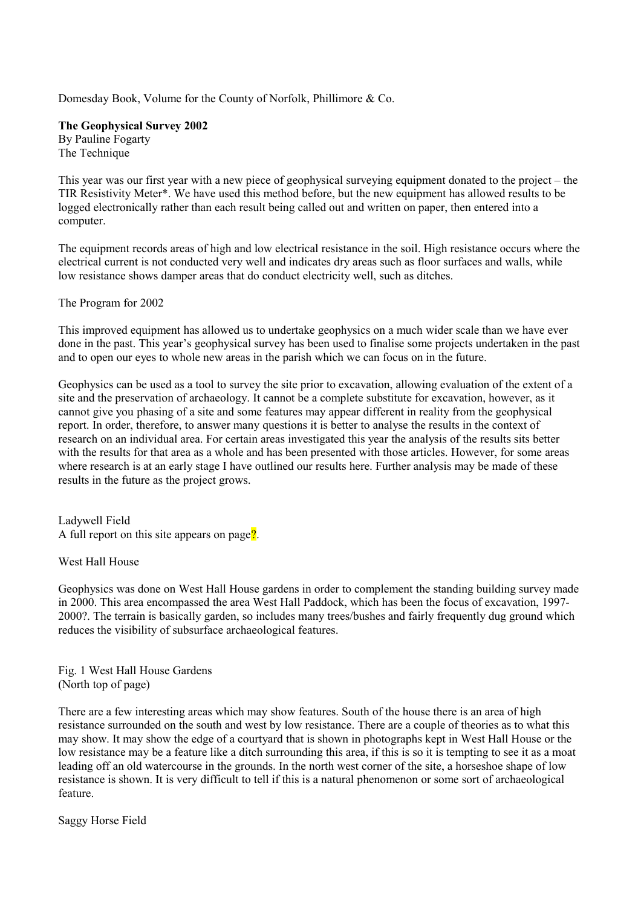Domesday Book, Volume for the County of Norfolk, Phillimore & Co.

**The Geophysical Survey 2002**  By Pauline Fogarty The Technique

This year was our first year with a new piece of geophysical surveying equipment donated to the project – the TIR Resistivity Meter\*. We have used this method before, but the new equipment has allowed results to be logged electronically rather than each result being called out and written on paper, then entered into a computer.

The equipment records areas of high and low electrical resistance in the soil. High resistance occurs where the electrical current is not conducted very well and indicates dry areas such as floor surfaces and walls, while low resistance shows damper areas that do conduct electricity well, such as ditches.

The Program for 2002

This improved equipment has allowed us to undertake geophysics on a much wider scale than we have ever done in the past. This year's geophysical survey has been used to finalise some projects undertaken in the past and to open our eyes to whole new areas in the parish which we can focus on in the future.

Geophysics can be used as a tool to survey the site prior to excavation, allowing evaluation of the extent of a site and the preservation of archaeology. It cannot be a complete substitute for excavation, however, as it cannot give you phasing of a site and some features may appear different in reality from the geophysical report. In order, therefore, to answer many questions it is better to analyse the results in the context of research on an individual area. For certain areas investigated this year the analysis of the results sits better with the results for that area as a whole and has been presented with those articles. However, for some areas where research is at an early stage I have outlined our results here. Further analysis may be made of these results in the future as the project grows.

Ladywell Field A full report on this site appears on page?

West Hall House

Geophysics was done on West Hall House gardens in order to complement the standing building survey made in 2000. This area encompassed the area West Hall Paddock, which has been the focus of excavation, 1997- 2000?. The terrain is basically garden, so includes many trees/bushes and fairly frequently dug ground which reduces the visibility of subsurface archaeological features.

Fig. 1 West Hall House Gardens (North top of page)

There are a few interesting areas which may show features. South of the house there is an area of high resistance surrounded on the south and west by low resistance. There are a couple of theories as to what this may show. It may show the edge of a courtyard that is shown in photographs kept in West Hall House or the low resistance may be a feature like a ditch surrounding this area, if this is so it is tempting to see it as a moat leading off an old watercourse in the grounds. In the north west corner of the site, a horseshoe shape of low resistance is shown. It is very difficult to tell if this is a natural phenomenon or some sort of archaeological feature.

Saggy Horse Field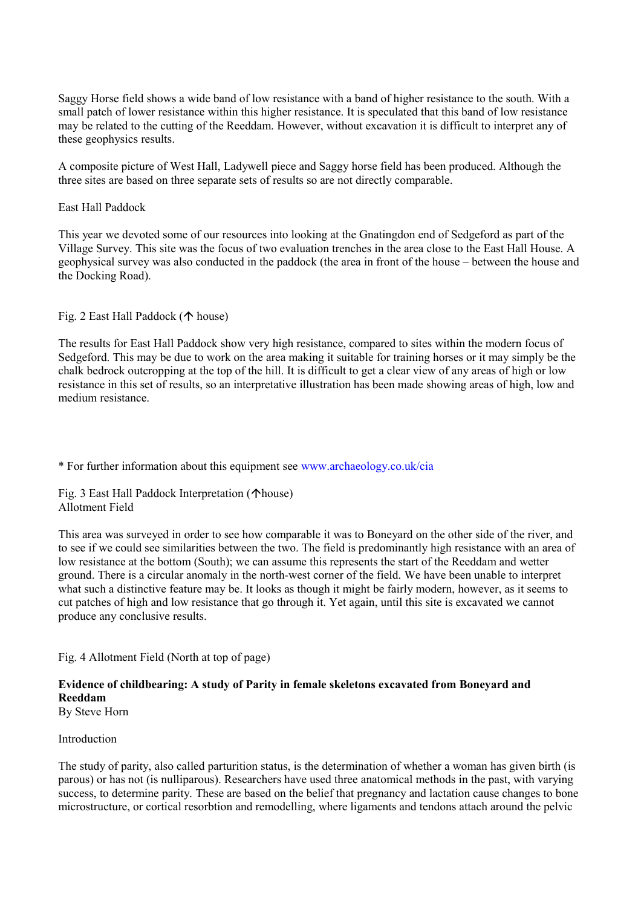Saggy Horse field shows a wide band of low resistance with a band of higher resistance to the south. With a small patch of lower resistance within this higher resistance. It is speculated that this band of low resistance may be related to the cutting of the Reeddam. However, without excavation it is difficult to interpret any of these geophysics results.

A composite picture of West Hall, Ladywell piece and Saggy horse field has been produced. Although the three sites are based on three separate sets of results so are not directly comparable.

# East Hall Paddock

This year we devoted some of our resources into looking at the Gnatingdon end of Sedgeford as part of the Village Survey. This site was the focus of two evaluation trenches in the area close to the East Hall House. A geophysical survey was also conducted in the paddock (the area in front of the house – between the house and the Docking Road).

Fig. 2 East Hall Paddock ( $\uparrow$  house)

The results for East Hall Paddock show very high resistance, compared to sites within the modern focus of Sedgeford. This may be due to work on the area making it suitable for training horses or it may simply be the chalk bedrock outcropping at the top of the hill. It is difficult to get a clear view of any areas of high or low resistance in this set of results, so an interpretative illustration has been made showing areas of high, low and medium resistance.

\* For further information about this equipment see [www.archaeology.co.uk/cia](http://www.archaeology.co.uk/cia)

Fig. 3 East Hall Paddock Interpretation ( $\triangle$ house) Allotment Field

This area was surveyed in order to see how comparable it was to Boneyard on the other side of the river, and to see if we could see similarities between the two. The field is predominantly high resistance with an area of low resistance at the bottom (South); we can assume this represents the start of the Reeddam and wetter ground. There is a circular anomaly in the north-west corner of the field. We have been unable to interpret what such a distinctive feature may be. It looks as though it might be fairly modern, however, as it seems to cut patches of high and low resistance that go through it. Yet again, until this site is excavated we cannot produce any conclusive results.

Fig. 4 Allotment Field (North at top of page)

#### **Evidence of childbearing: A study of Parity in female skeletons excavated from Boneyard and Reeddam**  By Steve Horn

# Introduction

The study of parity, also called parturition status, is the determination of whether a woman has given birth (is parous) or has not (is nulliparous). Researchers have used three anatomical methods in the past, with varying success, to determine parity. These are based on the belief that pregnancy and lactation cause changes to bone microstructure, or cortical resorbtion and remodelling, where ligaments and tendons attach around the pelvic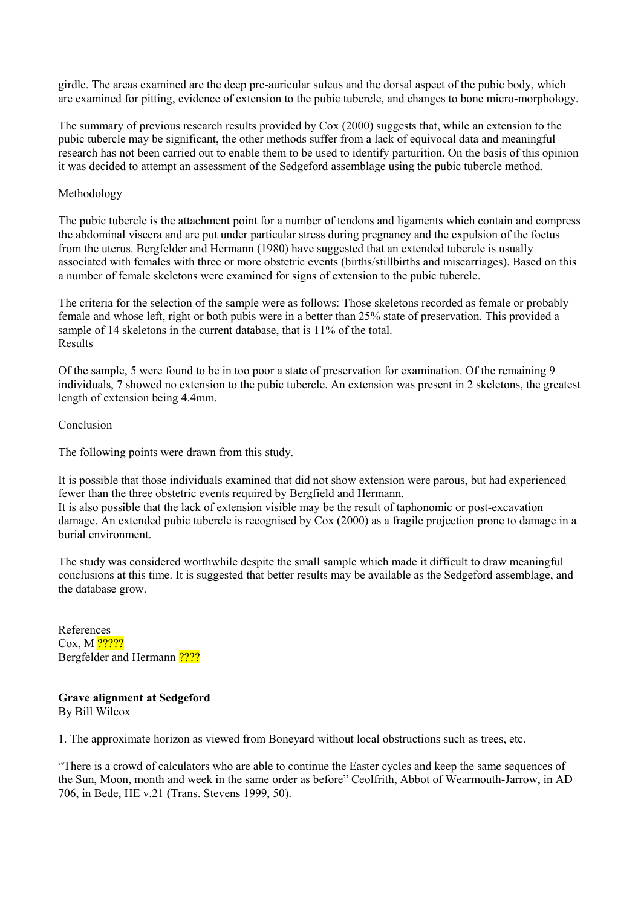girdle. The areas examined are the deep pre-auricular sulcus and the dorsal aspect of the pubic body, which are examined for pitting, evidence of extension to the pubic tubercle, and changes to bone micro-morphology.

The summary of previous research results provided by Cox (2000) suggests that, while an extension to the pubic tubercle may be significant, the other methods suffer from a lack of equivocal data and meaningful research has not been carried out to enable them to be used to identify parturition. On the basis of this opinion it was decided to attempt an assessment of the Sedgeford assemblage using the pubic tubercle method.

# Methodology

The pubic tubercle is the attachment point for a number of tendons and ligaments which contain and compress the abdominal viscera and are put under particular stress during pregnancy and the expulsion of the foetus from the uterus. Bergfelder and Hermann (1980) have suggested that an extended tubercle is usually associated with females with three or more obstetric events (births/stillbirths and miscarriages). Based on this a number of female skeletons were examined for signs of extension to the pubic tubercle.

The criteria for the selection of the sample were as follows: Those skeletons recorded as female or probably female and whose left, right or both pubis were in a better than 25% state of preservation. This provided a sample of 14 skeletons in the current database, that is 11% of the total. Results

Of the sample, 5 were found to be in too poor a state of preservation for examination. Of the remaining 9 individuals, 7 showed no extension to the pubic tubercle. An extension was present in 2 skeletons, the greatest length of extension being 4.4mm.

Conclusion

The following points were drawn from this study.

It is possible that those individuals examined that did not show extension were parous, but had experienced fewer than the three obstetric events required by Bergfield and Hermann. It is also possible that the lack of extension visible may be the result of taphonomic or post-excavation damage. An extended pubic tubercle is recognised by Cox (2000) as a fragile projection prone to damage in a burial environment.

The study was considered worthwhile despite the small sample which made it difficult to draw meaningful conclusions at this time. It is suggested that better results may be available as the Sedgeford assemblage, and the database grow.

References Cox, M 22222 Bergfelder and Hermann ????

**Grave alignment at Sedgeford**  By Bill Wilcox

1. The approximate horizon as viewed from Boneyard without local obstructions such as trees, etc.

"There is a crowd of calculators who are able to continue the Easter cycles and keep the same sequences of the Sun, Moon, month and week in the same order as before" Ceolfrith, Abbot of Wearmouth-Jarrow, in AD 706, in Bede, HE v.21 (Trans. Stevens 1999, 50).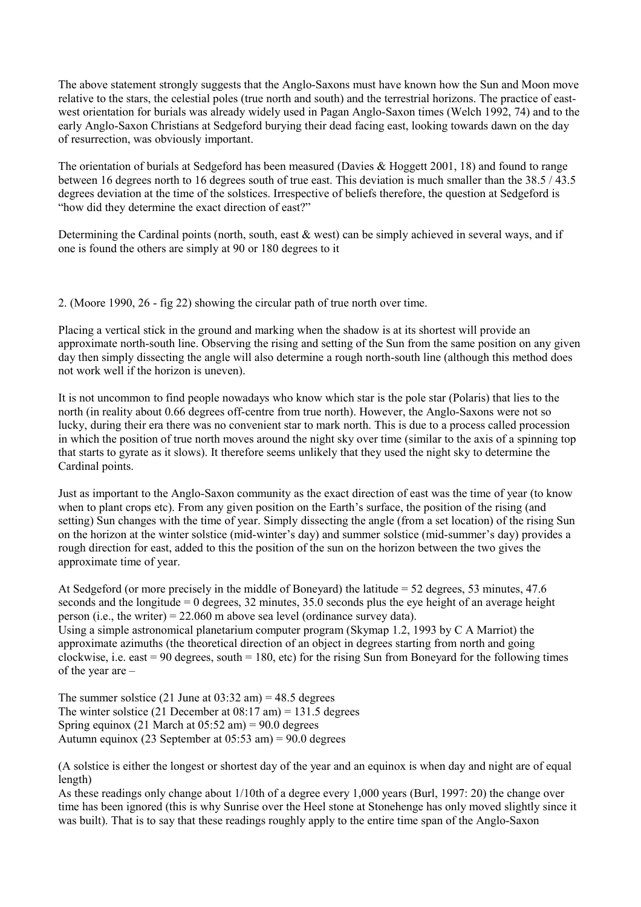The above statement strongly suggests that the Anglo-Saxons must have known how the Sun and Moon move relative to the stars, the celestial poles (true north and south) and the terrestrial horizons. The practice of eastwest orientation for burials was already widely used in Pagan Anglo-Saxon times (Welch 1992, 74) and to the early Anglo-Saxon Christians at Sedgeford burying their dead facing east, looking towards dawn on the day of resurrection, was obviously important.

The orientation of burials at Sedgeford has been measured (Davies & Hoggett 2001, 18) and found to range between 16 degrees north to 16 degrees south of true east. This deviation is much smaller than the 38.5 / 43.5 degrees deviation at the time of the solstices. Irrespective of beliefs therefore, the question at Sedgeford is "how did they determine the exact direction of east?"

Determining the Cardinal points (north, south, east & west) can be simply achieved in several ways, and if one is found the others are simply at 90 or 180 degrees to it

2. (Moore 1990, 26 - fig 22) showing the circular path of true north over time.

Placing a vertical stick in the ground and marking when the shadow is at its shortest will provide an approximate north-south line. Observing the rising and setting of the Sun from the same position on any given day then simply dissecting the angle will also determine a rough north-south line (although this method does not work well if the horizon is uneven).

It is not uncommon to find people nowadays who know which star is the pole star (Polaris) that lies to the north (in reality about 0.66 degrees off-centre from true north). However, the Anglo-Saxons were not so lucky, during their era there was no convenient star to mark north. This is due to a process called procession in which the position of true north moves around the night sky over time (similar to the axis of a spinning top that starts to gyrate as it slows). It therefore seems unlikely that they used the night sky to determine the Cardinal points.

Just as important to the Anglo-Saxon community as the exact direction of east was the time of year (to know when to plant crops etc). From any given position on the Earth's surface, the position of the rising (and setting) Sun changes with the time of year. Simply dissecting the angle (from a set location) of the rising Sun on the horizon at the winter solstice (mid-winter's day) and summer solstice (mid-summer's day) provides a rough direction for east, added to this the position of the sun on the horizon between the two gives the approximate time of year.

At Sedgeford (or more precisely in the middle of Boneyard) the latitude = 52 degrees, 53 minutes, 47.6 seconds and the longitude = 0 degrees, 32 minutes, 35.0 seconds plus the eye height of an average height person (i.e., the writer) =  $22.060$  m above sea level (ordinance survey data). Using a simple astronomical planetarium computer program (Skymap 1.2, 1993 by C A Marriot) the approximate azimuths (the theoretical direction of an object in degrees starting from north and going clockwise, i.e. east  $= 90$  degrees, south  $= 180$ , etc) for the rising Sun from Boneyard for the following times of the year are –

The summer solstice (21 June at  $03:32$  am) = 48.5 degrees The winter solstice (21 December at  $08:17$  am) = 131.5 degrees Spring equinox (21 March at  $05:52 \text{ am}$ ) = 90.0 degrees Autumn equinox (23 September at 05:53 am) = 90.0 degrees

(A solstice is either the longest or shortest day of the year and an equinox is when day and night are of equal length)

As these readings only change about 1/10th of a degree every 1,000 years (Burl, 1997: 20) the change over time has been ignored (this is why Sunrise over the Heel stone at Stonehenge has only moved slightly since it was built). That is to say that these readings roughly apply to the entire time span of the Anglo-Saxon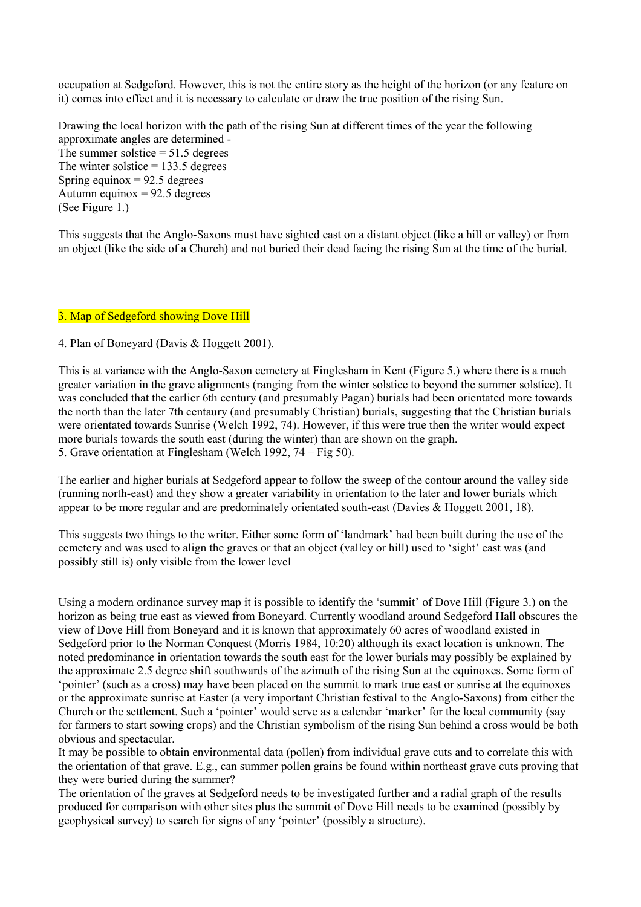occupation at Sedgeford. However, this is not the entire story as the height of the horizon (or any feature on it) comes into effect and it is necessary to calculate or draw the true position of the rising Sun.

Drawing the local horizon with the path of the rising Sun at different times of the year the following approximate angles are determined - The summer solstice  $= 51.5$  degrees The winter solstice  $= 133.5$  degrees Spring equinox  $= 92.5$  degrees Autumn equinox  $= 92.5$  degrees (See Figure 1.)

This suggests that the Anglo-Saxons must have sighted east on a distant object (like a hill or valley) or from an object (like the side of a Church) and not buried their dead facing the rising Sun at the time of the burial.

# 3. Map of Sedgeford showing Dove Hill

# 4. Plan of Boneyard (Davis & Hoggett 2001).

This is at variance with the Anglo-Saxon cemetery at Finglesham in Kent (Figure 5.) where there is a much greater variation in the grave alignments (ranging from the winter solstice to beyond the summer solstice). It was concluded that the earlier 6th century (and presumably Pagan) burials had been orientated more towards the north than the later 7th centaury (and presumably Christian) burials, suggesting that the Christian burials were orientated towards Sunrise (Welch 1992, 74). However, if this were true then the writer would expect more burials towards the south east (during the winter) than are shown on the graph. 5. Grave orientation at Finglesham (Welch 1992, 74 – Fig 50).

The earlier and higher burials at Sedgeford appear to follow the sweep of the contour around the valley side (running north-east) and they show a greater variability in orientation to the later and lower burials which appear to be more regular and are predominately orientated south-east (Davies & Hoggett 2001, 18).

This suggests two things to the writer. Either some form of 'landmark' had been built during the use of the cemetery and was used to align the graves or that an object (valley or hill) used to 'sight' east was (and possibly still is) only visible from the lower level

Using a modern ordinance survey map it is possible to identify the 'summit' of Dove Hill (Figure 3.) on the horizon as being true east as viewed from Boneyard. Currently woodland around Sedgeford Hall obscures the view of Dove Hill from Boneyard and it is known that approximately 60 acres of woodland existed in Sedgeford prior to the Norman Conquest (Morris 1984, 10:20) although its exact location is unknown. The noted predominance in orientation towards the south east for the lower burials may possibly be explained by the approximate 2.5 degree shift southwards of the azimuth of the rising Sun at the equinoxes. Some form of 'pointer' (such as a cross) may have been placed on the summit to mark true east or sunrise at the equinoxes or the approximate sunrise at Easter (a very important Christian festival to the Anglo-Saxons) from either the Church or the settlement. Such a 'pointer' would serve as a calendar 'marker' for the local community (say for farmers to start sowing crops) and the Christian symbolism of the rising Sun behind a cross would be both obvious and spectacular.

It may be possible to obtain environmental data (pollen) from individual grave cuts and to correlate this with the orientation of that grave. E.g., can summer pollen grains be found within northeast grave cuts proving that they were buried during the summer?

The orientation of the graves at Sedgeford needs to be investigated further and a radial graph of the results produced for comparison with other sites plus the summit of Dove Hill needs to be examined (possibly by geophysical survey) to search for signs of any 'pointer' (possibly a structure).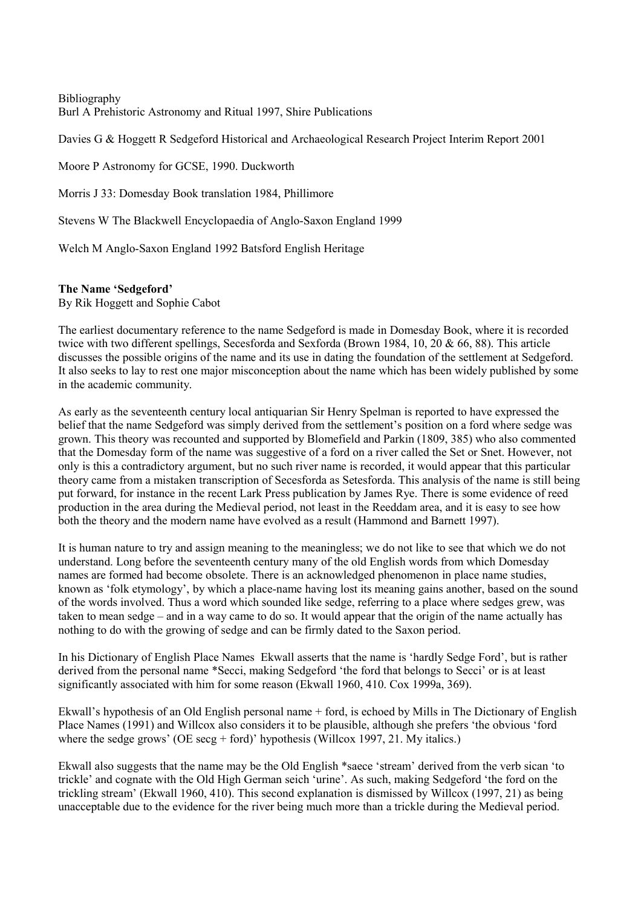Bibliography Burl A Prehistoric Astronomy and Ritual 1997, Shire Publications

Davies G & Hoggett R Sedgeford Historical and Archaeological Research Project Interim Report 2001

Moore P Astronomy for GCSE, 1990. Duckworth

Morris J 33: Domesday Book translation 1984, Phillimore

Stevens W The Blackwell Encyclopaedia of Anglo-Saxon England 1999

Welch M Anglo-Saxon England 1992 Batsford English Heritage

# **The Name 'Sedgeford'**

By Rik Hoggett and Sophie Cabot

The earliest documentary reference to the name Sedgeford is made in Domesday Book, where it is recorded twice with two different spellings, Secesforda and Sexforda (Brown 1984, 10, 20 & 66, 88). This article discusses the possible origins of the name and its use in dating the foundation of the settlement at Sedgeford. It also seeks to lay to rest one major misconception about the name which has been widely published by some in the academic community.

As early as the seventeenth century local antiquarian Sir Henry Spelman is reported to have expressed the belief that the name Sedgeford was simply derived from the settlement's position on a ford where sedge was grown. This theory was recounted and supported by Blomefield and Parkin (1809, 385) who also commented that the Domesday form of the name was suggestive of a ford on a river called the Set or Snet. However, not only is this a contradictory argument, but no such river name is recorded, it would appear that this particular theory came from a mistaken transcription of Secesforda as Setesforda. This analysis of the name is still being put forward, for instance in the recent Lark Press publication by James Rye. There is some evidence of reed production in the area during the Medieval period, not least in the Reeddam area, and it is easy to see how both the theory and the modern name have evolved as a result (Hammond and Barnett 1997).

It is human nature to try and assign meaning to the meaningless; we do not like to see that which we do not understand. Long before the seventeenth century many of the old English words from which Domesday names are formed had become obsolete. There is an acknowledged phenomenon in place name studies, known as 'folk etymology', by which a place-name having lost its meaning gains another, based on the sound of the words involved. Thus a word which sounded like sedge, referring to a place where sedges grew, was taken to mean sedge – and in a way came to do so. It would appear that the origin of the name actually has nothing to do with the growing of sedge and can be firmly dated to the Saxon period.

In his Dictionary of English Place Names Ekwall asserts that the name is 'hardly Sedge Ford', but is rather derived from the personal name \*Secci, making Sedgeford 'the ford that belongs to Secci' or is at least significantly associated with him for some reason (Ekwall 1960, 410. Cox 1999a, 369).

Ekwall's hypothesis of an Old English personal name + ford, is echoed by Mills in The Dictionary of English Place Names (1991) and Willcox also considers it to be plausible, although she prefers 'the obvious 'ford where the sedge grows' (OE secg + ford)' hypothesis (Willcox 1997, 21. My italics.)

Ekwall also suggests that the name may be the Old English \*saece 'stream' derived from the verb sican 'to trickle' and cognate with the Old High German seich 'urine'. As such, making Sedgeford 'the ford on the trickling stream' (Ekwall 1960, 410). This second explanation is dismissed by Willcox (1997, 21) as being unacceptable due to the evidence for the river being much more than a trickle during the Medieval period.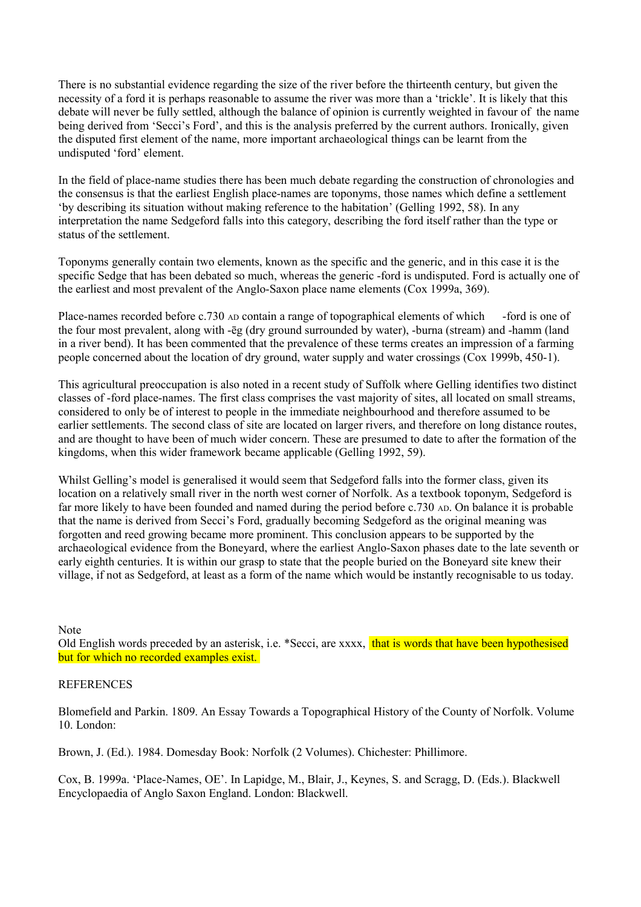There is no substantial evidence regarding the size of the river before the thirteenth century, but given the necessity of a ford it is perhaps reasonable to assume the river was more than a 'trickle'. It is likely that this debate will never be fully settled, although the balance of opinion is currently weighted in favour of the name being derived from 'Secci's Ford', and this is the analysis preferred by the current authors. Ironically, given the disputed first element of the name, more important archaeological things can be learnt from the undisputed 'ford' element.

In the field of place-name studies there has been much debate regarding the construction of chronologies and the consensus is that the earliest English place-names are toponyms, those names which define a settlement 'by describing its situation without making reference to the habitation' (Gelling 1992, 58). In any interpretation the name Sedgeford falls into this category, describing the ford itself rather than the type or status of the settlement.

Toponyms generally contain two elements, known as the specific and the generic, and in this case it is the specific Sedge that has been debated so much, whereas the generic -ford is undisputed. Ford is actually one of the earliest and most prevalent of the Anglo-Saxon place name elements (Cox 1999a, 369).

Place-names recorded before c.730 AD contain a range of topographical elements of which -ford is one of the four most prevalent, along with -ēg (dry ground surrounded by water), -burna (stream) and -hamm (land in a river bend). It has been commented that the prevalence of these terms creates an impression of a farming people concerned about the location of dry ground, water supply and water crossings (Cox 1999b, 450-1).

This agricultural preoccupation is also noted in a recent study of Suffolk where Gelling identifies two distinct classes of -ford place-names. The first class comprises the vast majority of sites, all located on small streams, considered to only be of interest to people in the immediate neighbourhood and therefore assumed to be earlier settlements. The second class of site are located on larger rivers, and therefore on long distance routes, and are thought to have been of much wider concern. These are presumed to date to after the formation of the kingdoms, when this wider framework became applicable (Gelling 1992, 59).

Whilst Gelling's model is generalised it would seem that Sedgeford falls into the former class, given its location on a relatively small river in the north west corner of Norfolk. As a textbook toponym, Sedgeford is far more likely to have been founded and named during the period before c.730 AD. On balance it is probable that the name is derived from Secci's Ford, gradually becoming Sedgeford as the original meaning was forgotten and reed growing became more prominent. This conclusion appears to be supported by the archaeological evidence from the Boneyard, where the earliest Anglo-Saxon phases date to the late seventh or early eighth centuries. It is within our grasp to state that the people buried on the Boneyard site knew their village, if not as Sedgeford, at least as a form of the name which would be instantly recognisable to us today.

Note

Old English words preceded by an asterisk, i.e. \*Secci, are xxxx, that is words that have been hypothesised but for which no recorded examples exist.

# **REFERENCES**

Blomefield and Parkin. 1809. An Essay Towards a Topographical History of the County of Norfolk. Volume 10. London:

Brown, J. (Ed.). 1984. Domesday Book: Norfolk (2 Volumes). Chichester: Phillimore.

Cox, B. 1999a. 'Place-Names, OE'. In Lapidge, M., Blair, J., Keynes, S. and Scragg, D. (Eds.). Blackwell Encyclopaedia of Anglo Saxon England. London: Blackwell.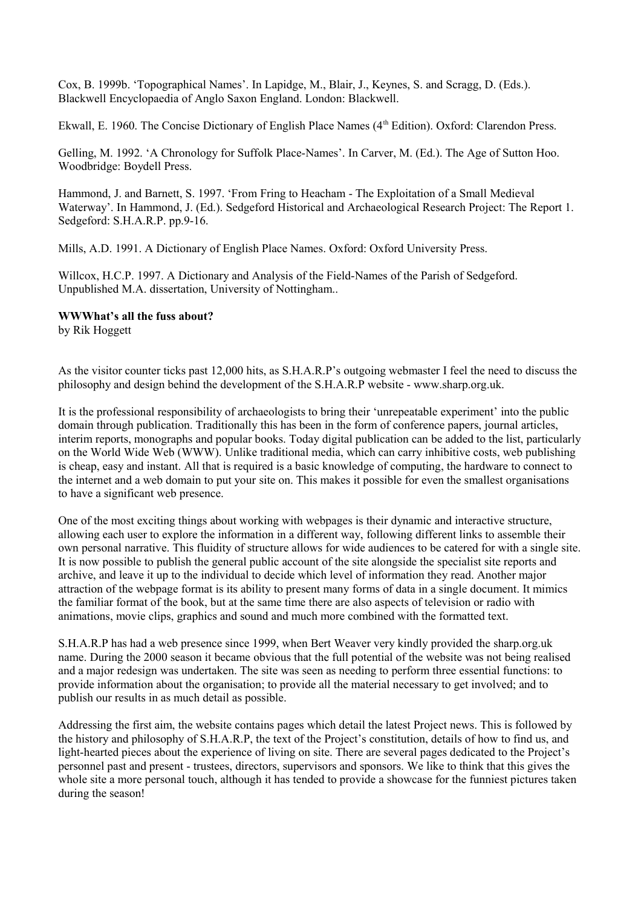Cox, B. 1999b. 'Topographical Names'. In Lapidge, M., Blair, J., Keynes, S. and Scragg, D. (Eds.). Blackwell Encyclopaedia of Anglo Saxon England. London: Blackwell.

Ekwall, E. 1960. The Concise Dictionary of English Place Names (4<sup>th</sup> Edition). Oxford: Clarendon Press.

Gelling, M. 1992. 'A Chronology for Suffolk Place-Names'. In Carver, M. (Ed.). The Age of Sutton Hoo. Woodbridge: Boydell Press.

Hammond, J. and Barnett, S. 1997. 'From Fring to Heacham - The Exploitation of a Small Medieval Waterway'. In Hammond, J. (Ed.). Sedgeford Historical and Archaeological Research Project: The Report 1. Sedgeford: S.H.A.R.P. pp.9-16.

Mills, A.D. 1991. A Dictionary of English Place Names. Oxford: Oxford University Press.

Willcox, H.C.P. 1997. A Dictionary and Analysis of the Field-Names of the Parish of Sedgeford. Unpublished M.A. dissertation, University of Nottingham..

# **WWWhat's all the fuss about?**

by Rik Hoggett

As the visitor counter ticks past 12,000 hits, as S.H.A.R.P's outgoing webmaster I feel the need to discuss the philosophy and design behind the development of the S.H.A.R.P website - www.sharp.org.uk.

It is the professional responsibility of archaeologists to bring their 'unrepeatable experiment' into the public domain through publication. Traditionally this has been in the form of conference papers, journal articles, interim reports, monographs and popular books. Today digital publication can be added to the list, particularly on the World Wide Web (WWW). Unlike traditional media, which can carry inhibitive costs, web publishing is cheap, easy and instant. All that is required is a basic knowledge of computing, the hardware to connect to the internet and a web domain to put your site on. This makes it possible for even the smallest organisations to have a significant web presence.

One of the most exciting things about working with webpages is their dynamic and interactive structure, allowing each user to explore the information in a different way, following different links to assemble their own personal narrative. This fluidity of structure allows for wide audiences to be catered for with a single site. It is now possible to publish the general public account of the site alongside the specialist site reports and archive, and leave it up to the individual to decide which level of information they read. Another major attraction of the webpage format is its ability to present many forms of data in a single document. It mimics the familiar format of the book, but at the same time there are also aspects of television or radio with animations, movie clips, graphics and sound and much more combined with the formatted text.

S.H.A.R.P has had a web presence since 1999, when Bert Weaver very kindly provided the sharp.org.uk name. During the 2000 season it became obvious that the full potential of the website was not being realised and a major redesign was undertaken. The site was seen as needing to perform three essential functions: to provide information about the organisation; to provide all the material necessary to get involved; and to publish our results in as much detail as possible.

Addressing the first aim, the website contains pages which detail the latest Project news. This is followed by the history and philosophy of S.H.A.R.P, the text of the Project's constitution, details of how to find us, and light-hearted pieces about the experience of living on site. There are several pages dedicated to the Project's personnel past and present - trustees, directors, supervisors and sponsors. We like to think that this gives the whole site a more personal touch, although it has tended to provide a showcase for the funniest pictures taken during the season!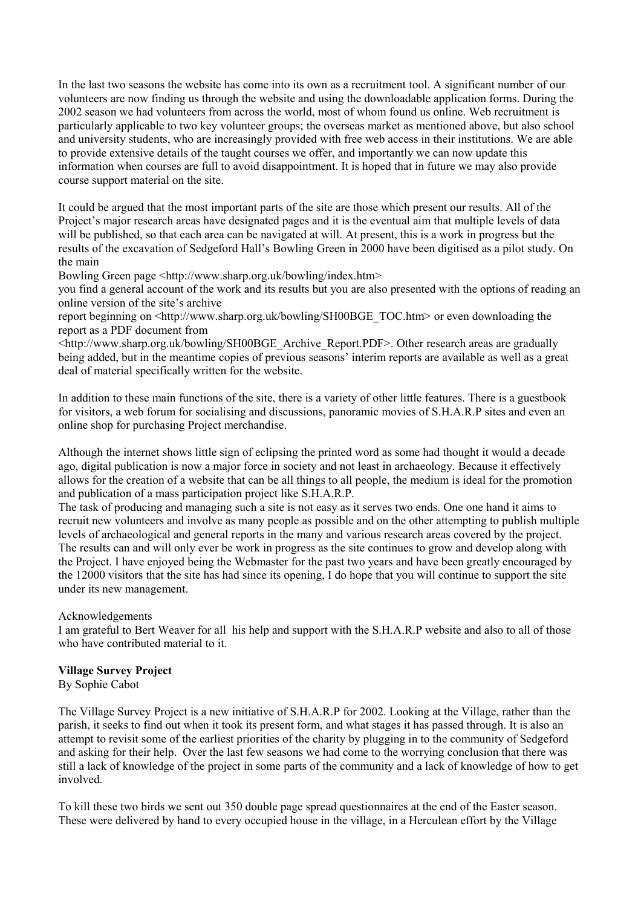In the last two seasons the website has come into its own as a recruitment tool. A significant number of our volunteers are now finding us through the website and using the downloadable application forms. During the 2002 season we had volunteers from across the world, most of whom found us online. Web recruitment is particularly applicable to two key volunteer groups; the overseas market as mentioned above, but also school and university students, who are increasingly provided with free web access in their institutions. We are able to provide extensive details of the taught courses we offer, and importantly we can now update this information when courses are full to avoid disappointment. It is hoped that in future we may also provide course support material on the site.

It could be argued that the most important parts of the site are those which present our results. All of the Project's major research areas have designated pages and it is the eventual aim that multiple levels of data will be published, so that each area can be navigated at will. At present, this is a work in progress but the results of the excavation of Sedgeford Hall's Bowling Green in 2000 have been digitised as a pilot study. On the main

Bowling Green page <http://www.sharp.org.uk/bowling/index.htm>

you find a general account of the work and its results but you are also presented with the options of reading an online version of the site's archive

report beginning on  $\text{th}$ ://www.sharp.org.uk/bowling/SH00BGE\_TOC.htm> or even downloading the report as a PDF document from

<http://www.sharp.org.uk/bowling/SH00BGE\_Archive\_Report.PDF>. Other research areas are gradually being added, but in the meantime copies of previous seasons' interim reports are available as well as a great deal of material specifically written for the website.

In addition to these main functions of the site, there is a variety of other little features. There is a guestbook for visitors, a web forum for socialising and discussions, panoramic movies of S.H.A.R.P sites and even an online shop for purchasing Project merchandise.

Although the internet shows little sign of eclipsing the printed word as some had thought it would a decade ago, digital publication is now a major force in society and not least in archaeology. Because it effectively allows for the creation of a website that can be all things to all people, the medium is ideal for the promotion and publication of a mass participation project like S.H.A.R.P.

The task of producing and managing such a site is not easy as it serves two ends. One one hand it aims to recruit new volunteers and involve as many people as possible and on the other attempting to publish multiple levels of archaeological and general reports in the many and various research areas covered by the project. The results can and will only ever be work in progress as the site continues to grow and develop along with the Project. I have enjoyed being the Webmaster for the past two years and have been greatly encouraged by the 12000 visitors that the site has had since its opening, I do hope that you will continue to support the site under its new management.

# Acknowledgements

I am grateful to Bert Weaver for all his help and support with the S.H.A.R.P website and also to all of those who have contributed material to it.

# **Village Survey Project**

By Sophie Cabot

The Village Survey Project is a new initiative of S.H.A.R.P for 2002. Looking at the Village, rather than the parish, it seeks to find out when it took its present form, and what stages it has passed through. It is also an attempt to revisit some of the earliest priorities of the charity by plugging in to the community of Sedgeford and asking for their help. Over the last few seasons we had come to the worrying conclusion that there was still a lack of knowledge of the project in some parts of the community and a lack of knowledge of how to get involved.

To kill these two birds we sent out 350 double page spread questionnaires at the end of the Easter season. These were delivered by hand to every occupied house in the village, in a Herculean effort by the Village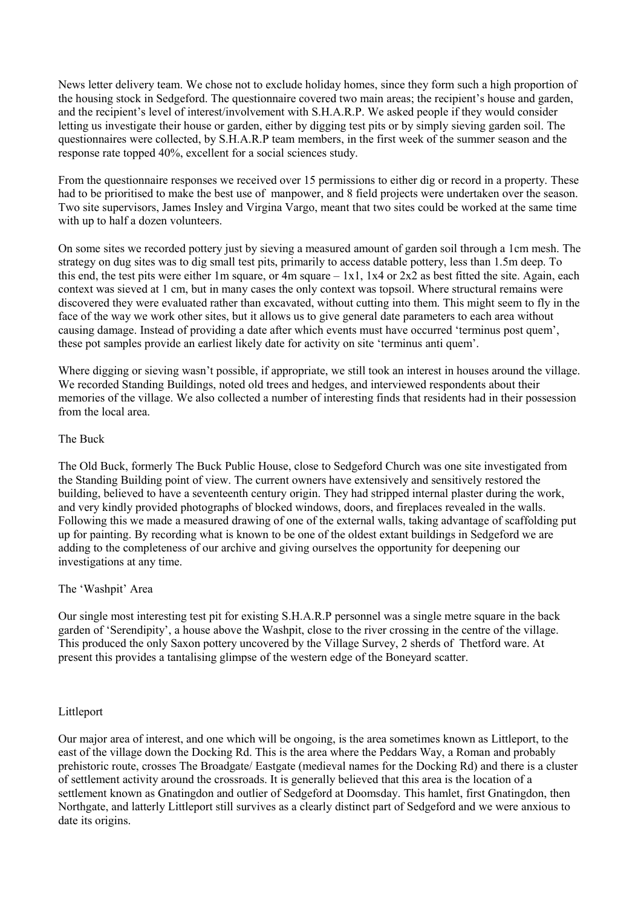News letter delivery team. We chose not to exclude holiday homes, since they form such a high proportion of the housing stock in Sedgeford. The questionnaire covered two main areas; the recipient's house and garden, and the recipient's level of interest/involvement with S.H.A.R.P. We asked people if they would consider letting us investigate their house or garden, either by digging test pits or by simply sieving garden soil. The questionnaires were collected, by S.H.A.R.P team members, in the first week of the summer season and the response rate topped 40%, excellent for a social sciences study.

From the questionnaire responses we received over 15 permissions to either dig or record in a property. These had to be prioritised to make the best use of manpower, and 8 field projects were undertaken over the season. Two site supervisors, James Insley and Virgina Vargo, meant that two sites could be worked at the same time with up to half a dozen volunteers.

On some sites we recorded pottery just by sieving a measured amount of garden soil through a 1cm mesh. The strategy on dug sites was to dig small test pits, primarily to access datable pottery, less than 1.5m deep. To this end, the test pits were either 1m square, or 4m square  $-1x1$ , 1x4 or 2x2 as best fitted the site. Again, each context was sieved at 1 cm, but in many cases the only context was topsoil. Where structural remains were discovered they were evaluated rather than excavated, without cutting into them. This might seem to fly in the face of the way we work other sites, but it allows us to give general date parameters to each area without causing damage. Instead of providing a date after which events must have occurred 'terminus post quem', these pot samples provide an earliest likely date for activity on site 'terminus anti quem'.

Where digging or sieving wasn't possible, if appropriate, we still took an interest in houses around the village. We recorded Standing Buildings, noted old trees and hedges, and interviewed respondents about their memories of the village. We also collected a number of interesting finds that residents had in their possession from the local area.

# The Buck

The Old Buck, formerly The Buck Public House, close to Sedgeford Church was one site investigated from the Standing Building point of view. The current owners have extensively and sensitively restored the building, believed to have a seventeenth century origin. They had stripped internal plaster during the work, and very kindly provided photographs of blocked windows, doors, and fireplaces revealed in the walls. Following this we made a measured drawing of one of the external walls, taking advantage of scaffolding put up for painting. By recording what is known to be one of the oldest extant buildings in Sedgeford we are adding to the completeness of our archive and giving ourselves the opportunity for deepening our investigations at any time.

# The 'Washpit' Area

Our single most interesting test pit for existing S.H.A.R.P personnel was a single metre square in the back garden of 'Serendipity', a house above the Washpit, close to the river crossing in the centre of the village. This produced the only Saxon pottery uncovered by the Village Survey, 2 sherds of Thetford ware. At present this provides a tantalising glimpse of the western edge of the Boneyard scatter.

# Littleport

Our major area of interest, and one which will be ongoing, is the area sometimes known as Littleport, to the east of the village down the Docking Rd. This is the area where the Peddars Way, a Roman and probably prehistoric route, crosses The Broadgate/ Eastgate (medieval names for the Docking Rd) and there is a cluster of settlement activity around the crossroads. It is generally believed that this area is the location of a settlement known as Gnatingdon and outlier of Sedgeford at Doomsday. This hamlet, first Gnatingdon, then Northgate, and latterly Littleport still survives as a clearly distinct part of Sedgeford and we were anxious to date its origins.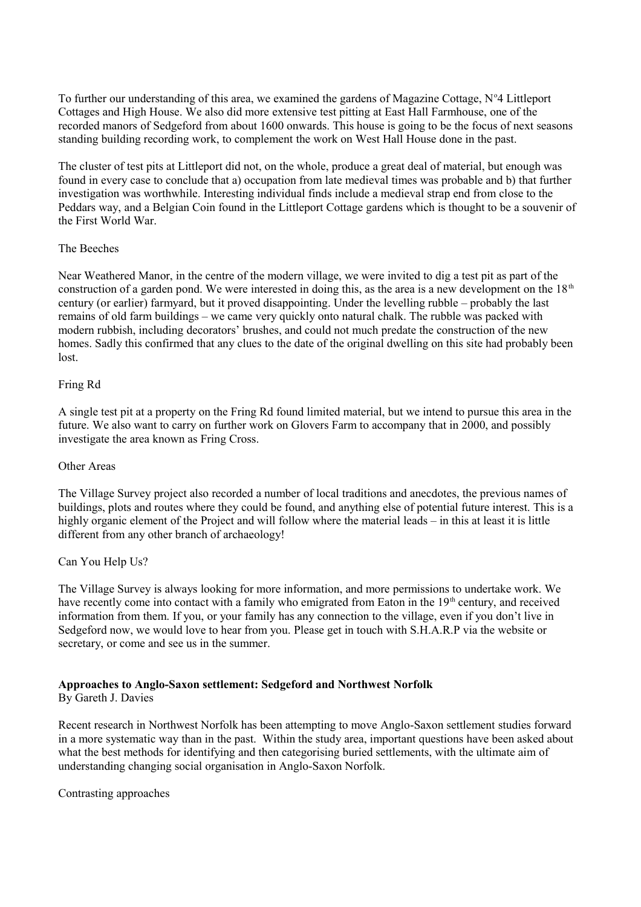To further our understanding of this area, we examined the gardens of Magazine Cottage, N°4 Littleport Cottages and High House. We also did more extensive test pitting at East Hall Farmhouse, one of the recorded manors of Sedgeford from about 1600 onwards. This house is going to be the focus of next seasons standing building recording work, to complement the work on West Hall House done in the past.

The cluster of test pits at Littleport did not, on the whole, produce a great deal of material, but enough was found in every case to conclude that a) occupation from late medieval times was probable and b) that further investigation was worthwhile. Interesting individual finds include a medieval strap end from close to the Peddars way, and a Belgian Coin found in the Littleport Cottage gardens which is thought to be a souvenir of the First World War.

# The Beeches

Near Weathered Manor, in the centre of the modern village, we were invited to dig a test pit as part of the construction of a garden pond. We were interested in doing this, as the area is a new development on the  $18<sup>th</sup>$ century (or earlier) farmyard, but it proved disappointing. Under the levelling rubble – probably the last remains of old farm buildings – we came very quickly onto natural chalk. The rubble was packed with modern rubbish, including decorators' brushes, and could not much predate the construction of the new homes. Sadly this confirmed that any clues to the date of the original dwelling on this site had probably been lost.

# Fring Rd

A single test pit at a property on the Fring Rd found limited material, but we intend to pursue this area in the future. We also want to carry on further work on Glovers Farm to accompany that in 2000, and possibly investigate the area known as Fring Cross.

# Other Areas

The Village Survey project also recorded a number of local traditions and anecdotes, the previous names of buildings, plots and routes where they could be found, and anything else of potential future interest. This is a highly organic element of the Project and will follow where the material leads – in this at least it is little different from any other branch of archaeology!

# Can You Help Us?

The Village Survey is always looking for more information, and more permissions to undertake work. We have recently come into contact with a family who emigrated from Eaton in the 19<sup>th</sup> century, and received information from them. If you, or your family has any connection to the village, even if you don't live in Sedgeford now, we would love to hear from you. Please get in touch with S.H.A.R.P via the website or secretary, or come and see us in the summer.

# **Approaches to Anglo-Saxon settlement: Sedgeford and Northwest Norfolk**

# By Gareth J. Davies

Recent research in Northwest Norfolk has been attempting to move Anglo-Saxon settlement studies forward in a more systematic way than in the past. Within the study area, important questions have been asked about what the best methods for identifying and then categorising buried settlements, with the ultimate aim of understanding changing social organisation in Anglo-Saxon Norfolk.

Contrasting approaches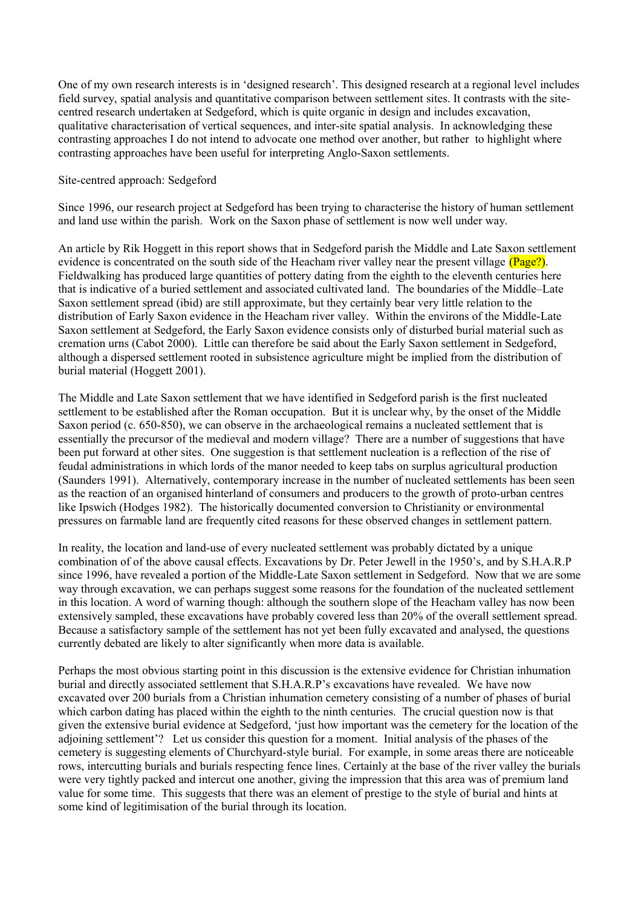One of my own research interests is in 'designed research'. This designed research at a regional level includes field survey, spatial analysis and quantitative comparison between settlement sites. It contrasts with the sitecentred research undertaken at Sedgeford, which is quite organic in design and includes excavation, qualitative characterisation of vertical sequences, and inter-site spatial analysis. In acknowledging these contrasting approaches I do not intend to advocate one method over another, but rather to highlight where contrasting approaches have been useful for interpreting Anglo-Saxon settlements.

# Site-centred approach: Sedgeford

Since 1996, our research project at Sedgeford has been trying to characterise the history of human settlement and land use within the parish. Work on the Saxon phase of settlement is now well under way.

An article by Rik Hoggett in this report shows that in Sedgeford parish the Middle and Late Saxon settlement evidence is concentrated on the south side of the Heacham river valley near the present village  $(Page?)$ . Fieldwalking has produced large quantities of pottery dating from the eighth to the eleventh centuries here that is indicative of a buried settlement and associated cultivated land. The boundaries of the Middle–Late Saxon settlement spread (ibid) are still approximate, but they certainly bear very little relation to the distribution of Early Saxon evidence in the Heacham river valley. Within the environs of the Middle-Late Saxon settlement at Sedgeford, the Early Saxon evidence consists only of disturbed burial material such as cremation urns (Cabot 2000). Little can therefore be said about the Early Saxon settlement in Sedgeford, although a dispersed settlement rooted in subsistence agriculture might be implied from the distribution of burial material (Hoggett 2001).

The Middle and Late Saxon settlement that we have identified in Sedgeford parish is the first nucleated settlement to be established after the Roman occupation. But it is unclear why, by the onset of the Middle Saxon period (c. 650-850), we can observe in the archaeological remains a nucleated settlement that is essentially the precursor of the medieval and modern village? There are a number of suggestions that have been put forward at other sites. One suggestion is that settlement nucleation is a reflection of the rise of feudal administrations in which lords of the manor needed to keep tabs on surplus agricultural production (Saunders 1991). Alternatively, contemporary increase in the number of nucleated settlements has been seen as the reaction of an organised hinterland of consumers and producers to the growth of proto-urban centres like Ipswich (Hodges 1982). The historically documented conversion to Christianity or environmental pressures on farmable land are frequently cited reasons for these observed changes in settlement pattern.

In reality, the location and land-use of every nucleated settlement was probably dictated by a unique combination of of the above causal effects. Excavations by Dr. Peter Jewell in the 1950's, and by S.H.A.R.P since 1996, have revealed a portion of the Middle-Late Saxon settlement in Sedgeford. Now that we are some way through excavation, we can perhaps suggest some reasons for the foundation of the nucleated settlement in this location. A word of warning though: although the southern slope of the Heacham valley has now been extensively sampled, these excavations have probably covered less than 20% of the overall settlement spread. Because a satisfactory sample of the settlement has not yet been fully excavated and analysed, the questions currently debated are likely to alter significantly when more data is available.

Perhaps the most obvious starting point in this discussion is the extensive evidence for Christian inhumation burial and directly associated settlement that S.H.A.R.P's excavations have revealed. We have now excavated over 200 burials from a Christian inhumation cemetery consisting of a number of phases of burial which carbon dating has placed within the eighth to the ninth centuries. The crucial question now is that given the extensive burial evidence at Sedgeford, 'just how important was the cemetery for the location of the adjoining settlement'? Let us consider this question for a moment. Initial analysis of the phases of the cemetery is suggesting elements of Churchyard-style burial. For example, in some areas there are noticeable rows, intercutting burials and burials respecting fence lines. Certainly at the base of the river valley the burials were very tightly packed and intercut one another, giving the impression that this area was of premium land value for some time. This suggests that there was an element of prestige to the style of burial and hints at some kind of legitimisation of the burial through its location.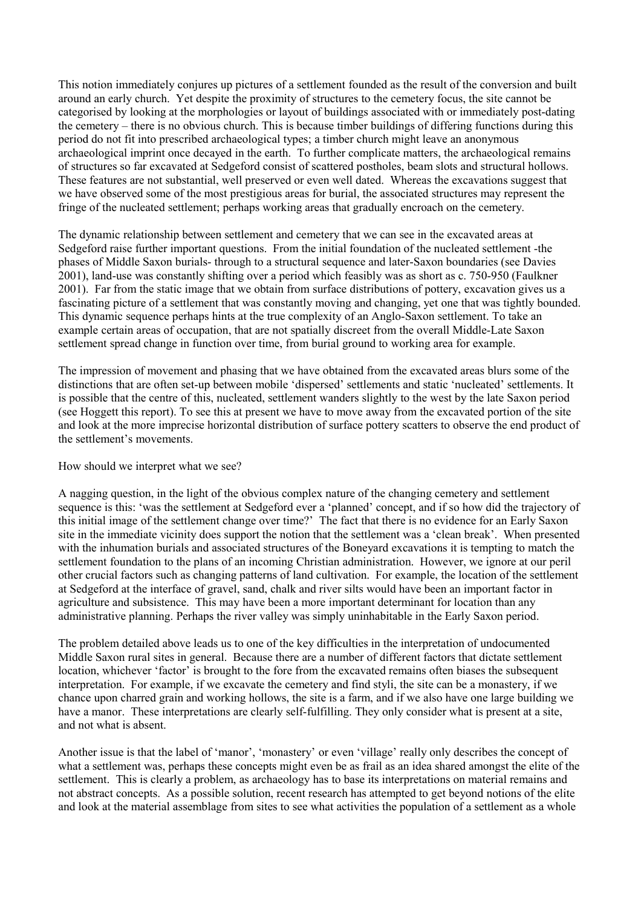This notion immediately conjures up pictures of a settlement founded as the result of the conversion and built around an early church. Yet despite the proximity of structures to the cemetery focus, the site cannot be categorised by looking at the morphologies or layout of buildings associated with or immediately post-dating the cemetery – there is no obvious church. This is because timber buildings of differing functions during this period do not fit into prescribed archaeological types; a timber church might leave an anonymous archaeological imprint once decayed in the earth. To further complicate matters, the archaeological remains of structures so far excavated at Sedgeford consist of scattered postholes, beam slots and structural hollows. These features are not substantial, well preserved or even well dated. Whereas the excavations suggest that we have observed some of the most prestigious areas for burial, the associated structures may represent the fringe of the nucleated settlement; perhaps working areas that gradually encroach on the cemetery.

The dynamic relationship between settlement and cemetery that we can see in the excavated areas at Sedgeford raise further important questions. From the initial foundation of the nucleated settlement -the phases of Middle Saxon burials- through to a structural sequence and later-Saxon boundaries (see Davies 2001), land-use was constantly shifting over a period which feasibly was as short as c. 750-950 (Faulkner 2001). Far from the static image that we obtain from surface distributions of pottery, excavation gives us a fascinating picture of a settlement that was constantly moving and changing, yet one that was tightly bounded. This dynamic sequence perhaps hints at the true complexity of an Anglo-Saxon settlement. To take an example certain areas of occupation, that are not spatially discreet from the overall Middle-Late Saxon settlement spread change in function over time, from burial ground to working area for example.

The impression of movement and phasing that we have obtained from the excavated areas blurs some of the distinctions that are often set-up between mobile 'dispersed' settlements and static 'nucleated' settlements. It is possible that the centre of this, nucleated, settlement wanders slightly to the west by the late Saxon period (see Hoggett this report). To see this at present we have to move away from the excavated portion of the site and look at the more imprecise horizontal distribution of surface pottery scatters to observe the end product of the settlement's movements.

# How should we interpret what we see?

A nagging question, in the light of the obvious complex nature of the changing cemetery and settlement sequence is this: 'was the settlement at Sedgeford ever a 'planned' concept, and if so how did the trajectory of this initial image of the settlement change over time?' The fact that there is no evidence for an Early Saxon site in the immediate vicinity does support the notion that the settlement was a 'clean break'. When presented with the inhumation burials and associated structures of the Boneyard excavations it is tempting to match the settlement foundation to the plans of an incoming Christian administration. However, we ignore at our peril other crucial factors such as changing patterns of land cultivation. For example, the location of the settlement at Sedgeford at the interface of gravel, sand, chalk and river silts would have been an important factor in agriculture and subsistence. This may have been a more important determinant for location than any administrative planning. Perhaps the river valley was simply uninhabitable in the Early Saxon period.

The problem detailed above leads us to one of the key difficulties in the interpretation of undocumented Middle Saxon rural sites in general. Because there are a number of different factors that dictate settlement location, whichever 'factor' is brought to the fore from the excavated remains often biases the subsequent interpretation. For example, if we excavate the cemetery and find styli, the site can be a monastery, if we chance upon charred grain and working hollows, the site is a farm, and if we also have one large building we have a manor. These interpretations are clearly self-fulfilling. They only consider what is present at a site, and not what is absent.

Another issue is that the label of 'manor', 'monastery' or even 'village' really only describes the concept of what a settlement was, perhaps these concepts might even be as frail as an idea shared amongst the elite of the settlement. This is clearly a problem, as archaeology has to base its interpretations on material remains and not abstract concepts. As a possible solution, recent research has attempted to get beyond notions of the elite and look at the material assemblage from sites to see what activities the population of a settlement as a whole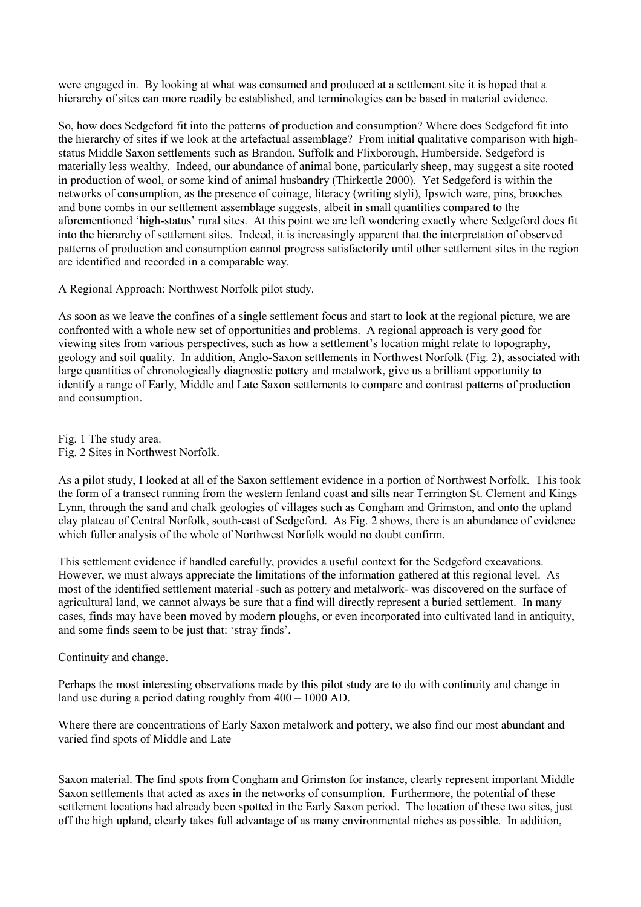were engaged in. By looking at what was consumed and produced at a settlement site it is hoped that a hierarchy of sites can more readily be established, and terminologies can be based in material evidence.

So, how does Sedgeford fit into the patterns of production and consumption? Where does Sedgeford fit into the hierarchy of sites if we look at the artefactual assemblage? From initial qualitative comparison with highstatus Middle Saxon settlements such as Brandon, Suffolk and Flixborough, Humberside, Sedgeford is materially less wealthy. Indeed, our abundance of animal bone, particularly sheep, may suggest a site rooted in production of wool, or some kind of animal husbandry (Thirkettle 2000). Yet Sedgeford is within the networks of consumption, as the presence of coinage, literacy (writing styli), Ipswich ware, pins, brooches and bone combs in our settlement assemblage suggests, albeit in small quantities compared to the aforementioned 'high-status' rural sites. At this point we are left wondering exactly where Sedgeford does fit into the hierarchy of settlement sites. Indeed, it is increasingly apparent that the interpretation of observed patterns of production and consumption cannot progress satisfactorily until other settlement sites in the region are identified and recorded in a comparable way.

A Regional Approach: Northwest Norfolk pilot study.

As soon as we leave the confines of a single settlement focus and start to look at the regional picture, we are confronted with a whole new set of opportunities and problems. A regional approach is very good for viewing sites from various perspectives, such as how a settlement's location might relate to topography, geology and soil quality. In addition, Anglo-Saxon settlements in Northwest Norfolk (Fig. 2), associated with large quantities of chronologically diagnostic pottery and metalwork, give us a brilliant opportunity to identify a range of Early, Middle and Late Saxon settlements to compare and contrast patterns of production and consumption.

Fig. 1 The study area. Fig. 2 Sites in Northwest Norfolk.

As a pilot study, I looked at all of the Saxon settlement evidence in a portion of Northwest Norfolk. This took the form of a transect running from the western fenland coast and silts near Terrington St. Clement and Kings Lynn, through the sand and chalk geologies of villages such as Congham and Grimston, and onto the upland clay plateau of Central Norfolk, south-east of Sedgeford. As Fig. 2 shows, there is an abundance of evidence which fuller analysis of the whole of Northwest Norfolk would no doubt confirm.

This settlement evidence if handled carefully, provides a useful context for the Sedgeford excavations. However, we must always appreciate the limitations of the information gathered at this regional level. As most of the identified settlement material -such as pottery and metalwork- was discovered on the surface of agricultural land, we cannot always be sure that a find will directly represent a buried settlement. In many cases, finds may have been moved by modern ploughs, or even incorporated into cultivated land in antiquity, and some finds seem to be just that: 'stray finds'.

# Continuity and change.

Perhaps the most interesting observations made by this pilot study are to do with continuity and change in land use during a period dating roughly from 400 – 1000 AD.

Where there are concentrations of Early Saxon metalwork and pottery, we also find our most abundant and varied find spots of Middle and Late

Saxon material. The find spots from Congham and Grimston for instance, clearly represent important Middle Saxon settlements that acted as axes in the networks of consumption. Furthermore, the potential of these settlement locations had already been spotted in the Early Saxon period. The location of these two sites, just off the high upland, clearly takes full advantage of as many environmental niches as possible. In addition,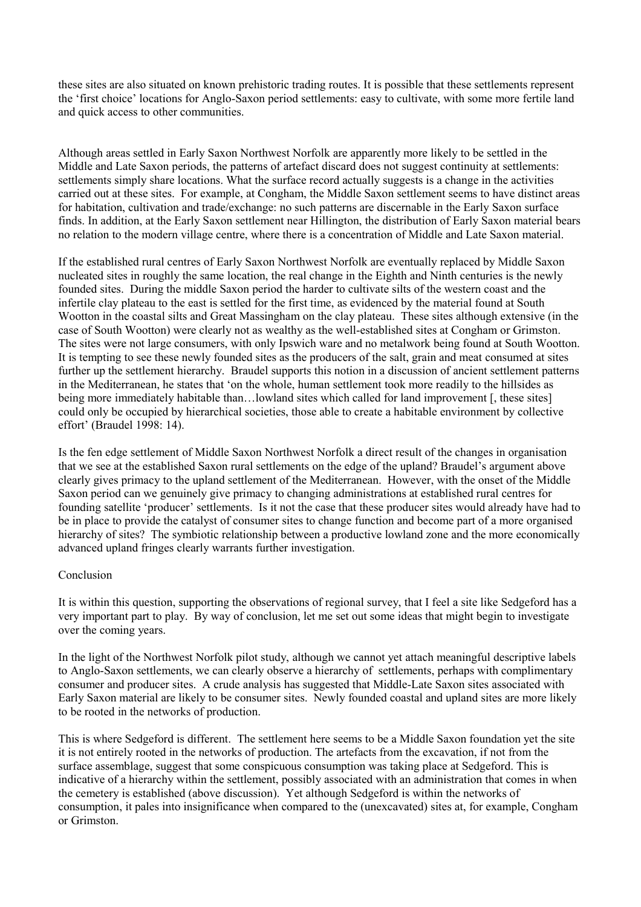these sites are also situated on known prehistoric trading routes. It is possible that these settlements represent the 'first choice' locations for Anglo-Saxon period settlements: easy to cultivate, with some more fertile land and quick access to other communities.

Although areas settled in Early Saxon Northwest Norfolk are apparently more likely to be settled in the Middle and Late Saxon periods, the patterns of artefact discard does not suggest continuity at settlements: settlements simply share locations. What the surface record actually suggests is a change in the activities carried out at these sites. For example, at Congham, the Middle Saxon settlement seems to have distinct areas for habitation, cultivation and trade/exchange: no such patterns are discernable in the Early Saxon surface finds. In addition, at the Early Saxon settlement near Hillington, the distribution of Early Saxon material bears no relation to the modern village centre, where there is a concentration of Middle and Late Saxon material.

If the established rural centres of Early Saxon Northwest Norfolk are eventually replaced by Middle Saxon nucleated sites in roughly the same location, the real change in the Eighth and Ninth centuries is the newly founded sites. During the middle Saxon period the harder to cultivate silts of the western coast and the infertile clay plateau to the east is settled for the first time, as evidenced by the material found at South Wootton in the coastal silts and Great Massingham on the clay plateau. These sites although extensive (in the case of South Wootton) were clearly not as wealthy as the well-established sites at Congham or Grimston. The sites were not large consumers, with only Ipswich ware and no metalwork being found at South Wootton. It is tempting to see these newly founded sites as the producers of the salt, grain and meat consumed at sites further up the settlement hierarchy. Braudel supports this notion in a discussion of ancient settlement patterns in the Mediterranean, he states that 'on the whole, human settlement took more readily to the hillsides as being more immediately habitable than…lowland sites which called for land improvement [, these sites] could only be occupied by hierarchical societies, those able to create a habitable environment by collective effort' (Braudel 1998: 14).

Is the fen edge settlement of Middle Saxon Northwest Norfolk a direct result of the changes in organisation that we see at the established Saxon rural settlements on the edge of the upland? Braudel's argument above clearly gives primacy to the upland settlement of the Mediterranean. However, with the onset of the Middle Saxon period can we genuinely give primacy to changing administrations at established rural centres for founding satellite 'producer' settlements. Is it not the case that these producer sites would already have had to be in place to provide the catalyst of consumer sites to change function and become part of a more organised hierarchy of sites? The symbiotic relationship between a productive lowland zone and the more economically advanced upland fringes clearly warrants further investigation.

# Conclusion

It is within this question, supporting the observations of regional survey, that I feel a site like Sedgeford has a very important part to play. By way of conclusion, let me set out some ideas that might begin to investigate over the coming years.

In the light of the Northwest Norfolk pilot study, although we cannot yet attach meaningful descriptive labels to Anglo-Saxon settlements, we can clearly observe a hierarchy of settlements, perhaps with complimentary consumer and producer sites. A crude analysis has suggested that Middle-Late Saxon sites associated with Early Saxon material are likely to be consumer sites. Newly founded coastal and upland sites are more likely to be rooted in the networks of production.

This is where Sedgeford is different. The settlement here seems to be a Middle Saxon foundation yet the site it is not entirely rooted in the networks of production. The artefacts from the excavation, if not from the surface assemblage, suggest that some conspicuous consumption was taking place at Sedgeford. This is indicative of a hierarchy within the settlement, possibly associated with an administration that comes in when the cemetery is established (above discussion). Yet although Sedgeford is within the networks of consumption, it pales into insignificance when compared to the (unexcavated) sites at, for example, Congham or Grimston.